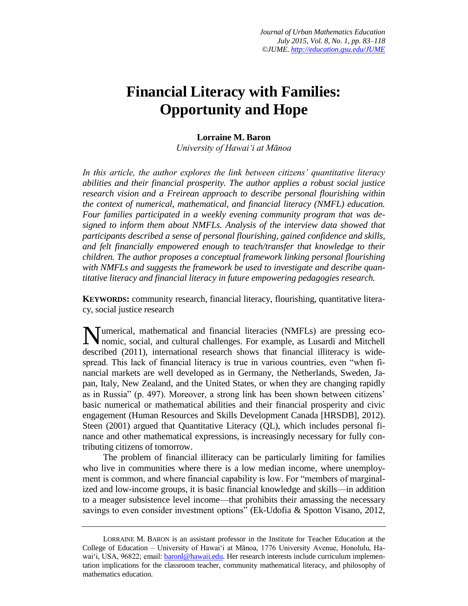## **Financial Literacy with Families: Opportunity and Hope**

### **Lorraine M. Baron**

*University of Hawaiʻi at Mānoa*

*In this article, the author explores the link between citizens' quantitative literacy abilities and their financial prosperity. The author applies a robust social justice research vision and a Freirean approach to describe personal flourishing within the context of numerical, mathematical, and financial literacy (NMFL) education. Four families participated in a weekly evening community program that was designed to inform them about NMFLs. Analysis of the interview data showed that participants described a sense of personal flourishing, gained confidence and skills, and felt financially empowered enough to teach/transfer that knowledge to their children. The author proposes a conceptual framework linking personal flourishing with NMFLs and suggests the framework be used to investigate and describe quantitative literacy and financial literacy in future empowering pedagogies research.*

**KEYWORDS:** community research, financial literacy, flourishing, quantitative literacy, social justice research

umerical, mathematical and financial literacies (NMFLs) are pressing eco-Mumerical, mathematical and financial literacies (NMFLs) are pressing economic, social, and cultural challenges. For example, as Lusardi and Mitchell described (2011), international research shows that financial illiteracy is widespread. This lack of financial literacy is true in various countries, even "when financial markets are well developed as in Germany, the Netherlands, Sweden, Japan, Italy, New Zealand, and the United States, or when they are changing rapidly as in Russia" (p. 497). Moreover, a strong link has been shown between citizens' basic numerical or mathematical abilities and their financial prosperity and civic engagement (Human Resources and Skills Development Canada [HRSDB], 2012). Steen (2001) argued that Quantitative Literacy (QL), which includes personal finance and other mathematical expressions, is increasingly necessary for fully contributing citizens of tomorrow.

The problem of financial illiteracy can be particularly limiting for families who live in communities where there is a low median income, where unemployment is common, and where financial capability is low. For "members of marginalized and low-income groups, it is basic financial knowledge and skills—in addition to a meager subsistence level income—that prohibits their amassing the necessary savings to even consider investment options" (Ek-Udofia & Spotton Visano, 2012,

LORRAINE M. BARON is an assistant professor in the Institute for Teacher Education at the College of Education – University of Hawaiʻi at Mānoa, 1776 University Avenue, Honolulu, Hawai'i, USA, 96822; email: [baronl@hawaii.edu.](mailto:baronl@hawaii.edu) Her research interests include curriculum implementation implications for the classroom teacher, community mathematical literacy, and philosophy of mathematics education.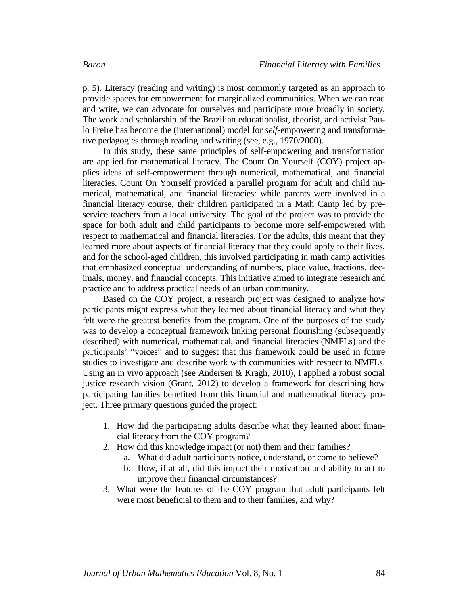p. 5). Literacy (reading and writing) is most commonly targeted as an approach to provide spaces for empowerment for marginalized communities. When we can read and write, we can advocate for ourselves and participate more broadly in society. The work and scholarship of the Brazilian educationalist, theorist, and activist Paulo Freire has become the (international) model for *self*-empowering and transformative pedagogies through reading and writing (see, e.g., 1970/2000).

In this study, these same principles of self-empowering and transformation are applied for mathematical literacy. The Count On Yourself (COY) project applies ideas of self-empowerment through numerical, mathematical, and financial literacies. Count On Yourself provided a parallel program for adult and child numerical, mathematical, and financial literacies: while parents were involved in a financial literacy course, their children participated in a Math Camp led by preservice teachers from a local university. The goal of the project was to provide the space for both adult and child participants to become more self-empowered with respect to mathematical and financial literacies. For the adults, this meant that they learned more about aspects of financial literacy that they could apply to their lives, and for the school-aged children, this involved participating in math camp activities that emphasized conceptual understanding of numbers, place value, fractions, decimals, money, and financial concepts. This initiative aimed to integrate research and practice and to address practical needs of an urban community.

Based on the COY project, a research project was designed to analyze how participants might express what they learned about financial literacy and what they felt were the greatest benefits from the program. One of the purposes of the study was to develop a conceptual framework linking personal flourishing (subsequently described) with numerical, mathematical, and financial literacies (NMFLs) and the participants' "voices" and to suggest that this framework could be used in future studies to investigate and describe work with communities with respect to NMFLs. Using an in vivo approach (see Andersen & Kragh, 2010), I applied a robust social justice research vision (Grant, 2012) to develop a framework for describing how participating families benefited from this financial and mathematical literacy project. Three primary questions guided the project:

- 1. How did the participating adults describe what they learned about financial literacy from the COY program?
- 2. How did this knowledge impact (or not) them and their families?
	- a. What did adult participants notice, understand, or come to believe?
	- b. How, if at all, did this impact their motivation and ability to act to improve their financial circumstances?
- 3. What were the features of the COY program that adult participants felt were most beneficial to them and to their families, and why?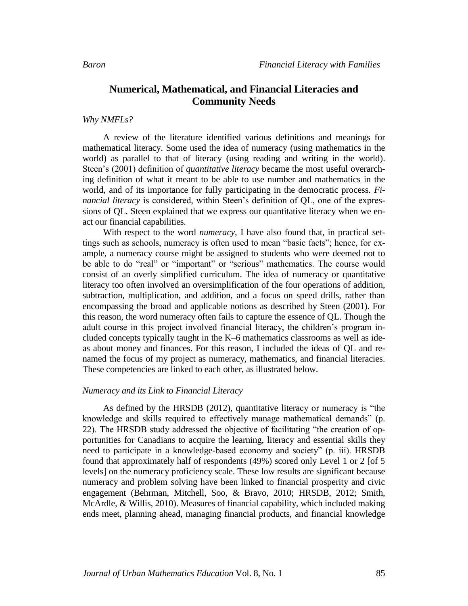### **Numerical, Mathematical, and Financial Literacies and Community Needs**

*Why NMFLs?*

A review of the literature identified various definitions and meanings for mathematical literacy. Some used the idea of numeracy (using mathematics in the world) as parallel to that of literacy (using reading and writing in the world). Steen's (2001) definition of *quantitative literacy* became the most useful overarching definition of what it meant to be able to use number and mathematics in the world, and of its importance for fully participating in the democratic process. *Financial literacy* is considered, within Steen's definition of QL, one of the expression*s* of QL. Steen explained that we express our quantitative literacy when we enact our financial capabilities.

With respect to the word *numeracy*, I have also found that, in practical settings such as schools, numeracy is often used to mean "basic facts"; hence, for example, a numeracy course might be assigned to students who were deemed not to be able to do "real" or "important" or "serious" mathematics. The course would consist of an overly simplified curriculum. The idea of numeracy or quantitative literacy too often involved an oversimplification of the four operations of addition, subtraction, multiplication, and addition, and a focus on speed drills, rather than encompassing the broad and applicable notions as described by Steen (2001). For this reason, the word numeracy often fails to capture the essence of QL. Though the adult course in this project involved financial literacy, the children's program included concepts typically taught in the K–6 mathematics classrooms as well as ideas about money and finances. For this reason, I included the ideas of QL and renamed the focus of my project as numeracy, mathematics, and financial literacies. These competencies are linked to each other, as illustrated below.

### *Numeracy and its Link to Financial Literacy*

As defined by the HRSDB (2012), quantitative literacy or numeracy is "the knowledge and skills required to effectively manage mathematical demands" (p. 22). The HRSDB study addressed the objective of facilitating "the creation of opportunities for Canadians to acquire the learning, literacy and essential skills they need to participate in a knowledge-based economy and society" (p. iii). HRSDB found that approximately half of respondents (49%) scored only Level 1 or 2 [of 5 levels] on the numeracy proficiency scale. These low results are significant because numeracy and problem solving have been linked to financial prosperity and civic engagement (Behrman, Mitchell, Soo, & Bravo, 2010; HRSDB, 2012; Smith, McArdle, & Willis, 2010). Measures of financial capability, which included making ends meet, planning ahead, managing financial products, and financial knowledge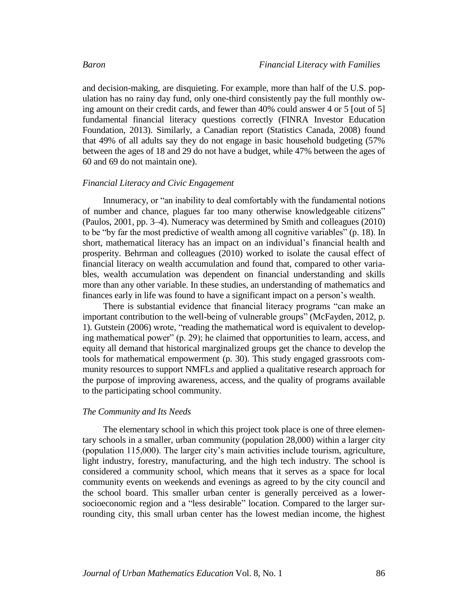and decision-making, are disquieting. For example, more than half of the U.S. population has no rainy day fund, only one-third consistently pay the full monthly owing amount on their credit cards, and fewer than 40% could answer 4 or 5 [out of 5] fundamental financial literacy questions correctly (FINRA Investor Education Foundation, 2013). Similarly, a Canadian report (Statistics Canada, 2008) found that 49% of all adults say they do not engage in basic household budgeting (57% between the ages of 18 and 29 do not have a budget, while 47% between the ages of 60 and 69 do not maintain one).

### *Financial Literacy and Civic Engagement*

Innumeracy, or "an inability to deal comfortably with the fundamental notions of number and chance, plagues far too many otherwise knowledgeable citizens" (Paulos, 2001, pp. 3–4). Numeracy was determined by Smith and colleagues (2010) to be "by far the most predictive of wealth among all cognitive variables" (p. 18). In short, mathematical literacy has an impact on an individual's financial health and prosperity. Behrman and colleagues (2010) worked to isolate the causal effect of financial literacy on wealth accumulation and found that, compared to other variables, wealth accumulation was dependent on financial understanding and skills more than any other variable. In these studies, an understanding of mathematics and finances early in life was found to have a significant impact on a person's wealth.

There is substantial evidence that financial literacy programs "can make an important contribution to the well-being of vulnerable groups" (McFayden, 2012, p. 1). Gutstein (2006) wrote, "reading the mathematical word is equivalent to developing mathematical power" (p. 29); he claimed that opportunities to learn, access, and equity all demand that historical marginalized groups get the chance to develop the tools for mathematical empowerment (p. 30). This study engaged grassroots community resources to support NMFLs and applied a qualitative research approach for the purpose of improving awareness, access, and the quality of programs available to the participating school community.

### *The Community and Its Needs*

The elementary school in which this project took place is one of three elementary schools in a smaller, urban community (population 28,000) within a larger city (population 115,000). The larger city's main activities include tourism, agriculture, light industry, forestry, manufacturing, and the high tech industry. The school is considered a community school, which means that it serves as a space for local community events on weekends and evenings as agreed to by the city council and the school board. This smaller urban center is generally perceived as a lowersocioeconomic region and a "less desirable" location. Compared to the larger surrounding city, this small urban center has the lowest median income, the highest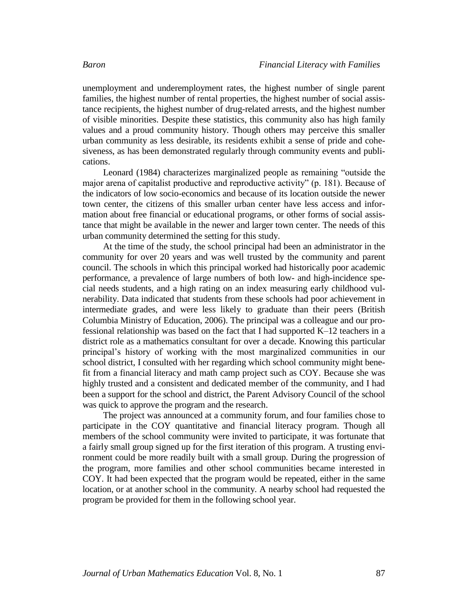unemployment and underemployment rates, the highest number of single parent families, the highest number of rental properties, the highest number of social assistance recipients, the highest number of drug-related arrests, and the highest number of visible minorities. Despite these statistics, this community also has high family values and a proud community history. Though others may perceive this smaller urban community as less desirable, its residents exhibit a sense of pride and cohesiveness, as has been demonstrated regularly through community events and publications.

Leonard (1984) characterizes marginalized people as remaining "outside the major arena of capitalist productive and reproductive activity" (p. 181). Because of the indicators of low socio-economics and because of its location outside the newer town center, the citizens of this smaller urban center have less access and information about free financial or educational programs, or other forms of social assistance that might be available in the newer and larger town center. The needs of this urban community determined the setting for this study.

At the time of the study, the school principal had been an administrator in the community for over 20 years and was well trusted by the community and parent council. The schools in which this principal worked had historically poor academic performance, a prevalence of large numbers of both low- and high-incidence special needs students, and a high rating on an index measuring early childhood vulnerability. Data indicated that students from these schools had poor achievement in intermediate grades, and were less likely to graduate than their peers (British Columbia Ministry of Education, 2006). The principal was a colleague and our professional relationship was based on the fact that I had supported K–12 teachers in a district role as a mathematics consultant for over a decade. Knowing this particular principal's history of working with the most marginalized communities in our school district, I consulted with her regarding which school community might benefit from a financial literacy and math camp project such as COY. Because she was highly trusted and a consistent and dedicated member of the community, and I had been a support for the school and district, the Parent Advisory Council of the school was quick to approve the program and the research.

The project was announced at a community forum, and four families chose to participate in the COY quantitative and financial literacy program. Though all members of the school community were invited to participate, it was fortunate that a fairly small group signed up for the first iteration of this program. A trusting environment could be more readily built with a small group. During the progression of the program, more families and other school communities became interested in COY. It had been expected that the program would be repeated, either in the same location, or at another school in the community. A nearby school had requested the program be provided for them in the following school year.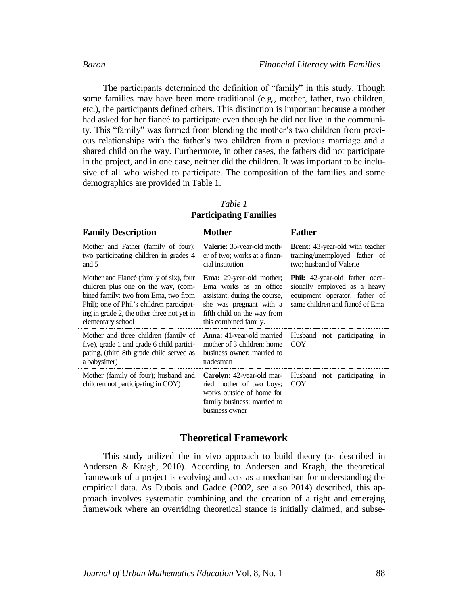The participants determined the definition of "family" in this study. Though some families may have been more traditional (e.g., mother, father, two children, etc.), the participants defined others. This distinction is important because a mother had asked for her fiancé to participate even though he did not live in the community. This "family" was formed from blending the mother's two children from previous relationships with the father's two children from a previous marriage and a shared child on the way. Furthermore, in other cases, the fathers did not participate in the project, and in one case, neither did the children. It was important to be inclusive of all who wished to participate. The composition of the families and some demographics are provided in Table 1.

| <b>Family Description</b>                                                                                                                                                                                                              | <b>Mother</b>                                                                                                                                                                 | Father                                                                                                                                    |  |  |
|----------------------------------------------------------------------------------------------------------------------------------------------------------------------------------------------------------------------------------------|-------------------------------------------------------------------------------------------------------------------------------------------------------------------------------|-------------------------------------------------------------------------------------------------------------------------------------------|--|--|
| Mother and Father (family of four);<br>two participating children in grades 4<br>and $5$                                                                                                                                               | <b>Valerie:</b> 35-year-old moth-<br>er of two; works at a finan-<br>cial institution                                                                                         | <b>Brent:</b> 43-year-old with teacher<br>training/unemployed father of<br>two; husband of Valerie                                        |  |  |
| Mother and Fiance (family of six), four<br>children plus one on the way, (com-<br>bined family: two from Ema, two from<br>Phil); one of Phil's children participat-<br>ing in grade 2, the other three not yet in<br>elementary school | <b>Ema:</b> 29-year-old mother;<br>Ema works as an office<br>assistant; during the course,<br>she was pregnant with a<br>fifth child on the way from<br>this combined family. | <b>Phil:</b> 42-year-old father occa-<br>sionally employed as a heavy<br>equipment operator; father of<br>same children and fiancé of Ema |  |  |
| Mother and three children (family of<br>five), grade 1 and grade 6 child partici-<br>pating, (third 8th grade child served as<br>a babysitter)                                                                                         | <b>Anna:</b> 41-year-old married<br>mother of 3 children; home<br>business owner; married to<br>tradesman                                                                     | Husband not participating in<br><b>COY</b>                                                                                                |  |  |
| Mother (family of four); husband and<br>children not participating in COY)                                                                                                                                                             | <b>Carolyn:</b> 42-year-old mar-<br>ried mother of two boys;<br>works outside of home for<br>family business; married to<br>business owner                                    | Husband not participating in<br><b>COY</b>                                                                                                |  |  |

*Table 1* **Participating Families**

### **Theoretical Framework**

This study utilized the in vivo approach to build theory (as described in Andersen & Kragh, 2010). According to Andersen and Kragh, the theoretical framework of a project is evolving and acts as a mechanism for understanding the empirical data. As Dubois and Gadde (2002, see also 2014) described, this approach involves systematic combining and the creation of a tight and emerging framework where an overriding theoretical stance is initially claimed, and subse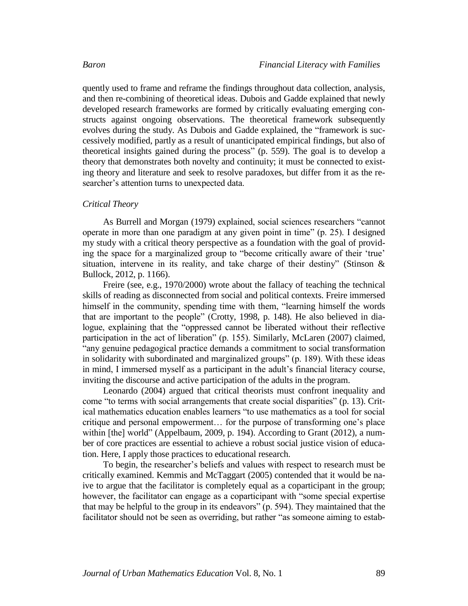quently used to frame and reframe the findings throughout data collection, analysis, and then re-combining of theoretical ideas. Dubois and Gadde explained that newly developed research frameworks are formed by critically evaluating emerging constructs against ongoing observations. The theoretical framework subsequently evolves during the study. As Dubois and Gadde explained, the "framework is successively modified, partly as a result of unanticipated empirical findings, but also of theoretical insights gained during the process" (p. 559). The goal is to develop a theory that demonstrates both novelty and continuity; it must be connected to existing theory and literature and seek to resolve paradoxes, but differ from it as the researcher's attention turns to unexpected data.

### *Critical Theory*

As Burrell and Morgan (1979) explained, social sciences researchers "cannot operate in more than one paradigm at any given point in time" (p. 25). I designed my study with a critical theory perspective as a foundation with the goal of providing the space for a marginalized group to "become critically aware of their 'true' situation, intervene in its reality, and take charge of their destiny" (Stinson & Bullock, 2012, p. 1166).

Freire (see, e.g., 1970/2000) wrote about the fallacy of teaching the technical skills of reading as disconnected from social and political contexts. Freire immersed himself in the community, spending time with them, "learning himself the words that are important to the people" (Crotty, 1998, p. 148). He also believed in dialogue, explaining that the "oppressed cannot be liberated without their reflective participation in the act of liberation" (p. 155). Similarly, McLaren (2007) claimed, "any genuine pedagogical practice demands a commitment to social transformation in solidarity with subordinated and marginalized groups" (p. 189). With these ideas in mind, I immersed myself as a participant in the adult's financial literacy course, inviting the discourse and active participation of the adults in the program.

Leonardo (2004) argued that critical theorists must confront inequality and come "to terms with social arrangements that create social disparities" (p. 13). Critical mathematics education enables learners "to use mathematics as a tool for social critique and personal empowerment… for the purpose of transforming one's place within [the] world" (Appelbaum, 2009, p. 194). According to Grant (2012), a number of core practices are essential to achieve a robust social justice vision of education. Here, I apply those practices to educational research.

To begin, the researcher's beliefs and values with respect to research must be critically examined. Kemmis and McTaggart (2005) contended that it would be naive to argue that the facilitator is completely equal as a coparticipant in the group; however, the facilitator can engage as a coparticipant with "some special expertise that may be helpful to the group in its endeavors" (p. 594). They maintained that the facilitator should not be seen as overriding, but rather "as someone aiming to estab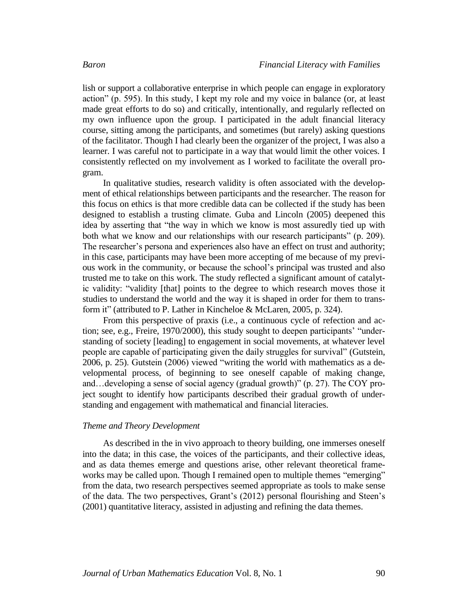lish or support a collaborative enterprise in which people can engage in exploratory action" (p. 595). In this study, I kept my role and my voice in balance (or, at least made great efforts to do so) and critically, intentionally, and regularly reflected on my own influence upon the group. I participated in the adult financial literacy course, sitting among the participants, and sometimes (but rarely) asking questions of the facilitator. Though I had clearly been the organizer of the project, I was also a learner. I was careful not to participate in a way that would limit the other voices. I consistently reflected on my involvement as I worked to facilitate the overall program.

In qualitative studies, research validity is often associated with the development of ethical relationships between participants and the researcher. The reason for this focus on ethics is that more credible data can be collected if the study has been designed to establish a trusting climate. Guba and Lincoln (2005) deepened this idea by asserting that "the way in which we know is most assuredly tied up with both what we know and our relationships with our research participants" (p. 209). The researcher's persona and experiences also have an effect on trust and authority; in this case, participants may have been more accepting of me because of my previous work in the community, or because the school's principal was trusted and also trusted me to take on this work. The study reflected a significant amount of catalytic validity: "validity [that] points to the degree to which research moves those it studies to understand the world and the way it is shaped in order for them to transform it" (attributed to P. Lather in Kincheloe & McLaren, 2005, p. 324).

From this perspective of praxis (i.e., a continuous cycle of refection and action; see, e.g., Freire, 1970/2000), this study sought to deepen participants' "understanding of society [leading] to engagement in social movements, at whatever level people are capable of participating given the daily struggles for survival" (Gutstein, 2006, p. 25). Gutstein (2006) viewed "writing the world with mathematics as a developmental process, of beginning to see oneself capable of making change, and…developing a sense of social agency (gradual growth)" (p. 27). The COY project sought to identify how participants described their gradual growth of understanding and engagement with mathematical and financial literacies.

### *Theme and Theory Development*

As described in the in vivo approach to theory building, one immerses oneself into the data; in this case, the voices of the participants, and their collective ideas, and as data themes emerge and questions arise, other relevant theoretical frameworks may be called upon. Though I remained open to multiple themes "emerging" from the data, two research perspectives seemed appropriate as tools to make sense of the data. The two perspectives, Grant's (2012) personal flourishing and Steen's (2001) quantitative literacy, assisted in adjusting and refining the data themes.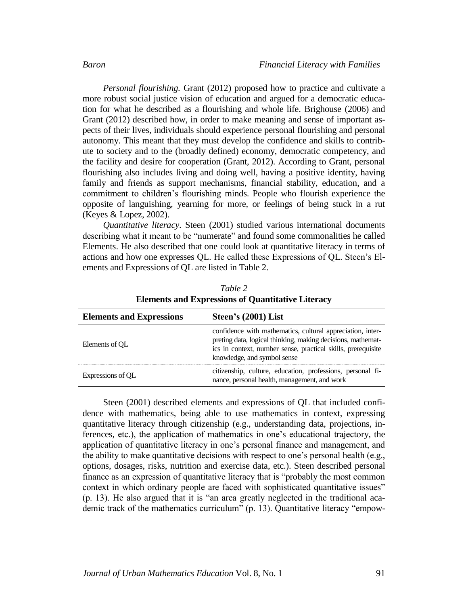*Personal flourishing.* Grant (2012) proposed how to practice and cultivate a more robust social justice vision of education and argued for a democratic education for what he described as a flourishing and whole life. Brighouse (2006) and Grant (2012) described how, in order to make meaning and sense of important aspects of their lives, individuals should experience personal flourishing and personal autonomy. This meant that they must develop the confidence and skills to contribute to society and to the (broadly defined) economy, democratic competency, and the facility and desire for cooperation (Grant, 2012). According to Grant, personal flourishing also includes living and doing well, having a positive identity, having family and friends as support mechanisms, financial stability, education, and a commitment to children's flourishing minds. People who flourish experience the opposite of languishing, yearning for more, or feelings of being stuck in a rut (Keyes & Lopez, 2002).

*Quantitative literacy*. Steen (2001) studied various international documents describing what it meant to be "numerate" and found some commonalities he called Elements. He also described that one could look at quantitative literacy in terms of actions and how one expresses QL. He called these Expressions of QL. Steen's Elements and Expressions of QL are listed in Table 2.

| <b>Elements and Expressions</b> | Steen's (2001) List                                                                                                                                                                                                      |  |  |
|---------------------------------|--------------------------------------------------------------------------------------------------------------------------------------------------------------------------------------------------------------------------|--|--|
| Elements of OL                  | confidence with mathematics, cultural appreciation, inter-<br>preting data, logical thinking, making decisions, mathemat-<br>ics in context, number sense, practical skills, prerequisite<br>knowledge, and symbol sense |  |  |
| Expressions of OL               | citizenship, culture, education, professions, personal fi-<br>nance, personal health, management, and work                                                                                                               |  |  |

*Table 2* **Elements and Expressions of Quantitative Literacy**

Steen (2001) described elements and expressions of QL that included confidence with mathematics, being able to use mathematics in context, expressing quantitative literacy through citizenship (e.g., understanding data, projections, inferences, etc.), the application of mathematics in one's educational trajectory, the application of quantitative literacy in one's personal finance and management, and the ability to make quantitative decisions with respect to one's personal health (e.g., options, dosages, risks, nutrition and exercise data, etc.). Steen described personal finance as an expression of quantitative literacy that is "probably the most common context in which ordinary people are faced with sophisticated quantitative issues" (p. 13). He also argued that it is "an area greatly neglected in the traditional academic track of the mathematics curriculum" (p. 13). Quantitative literacy "empow-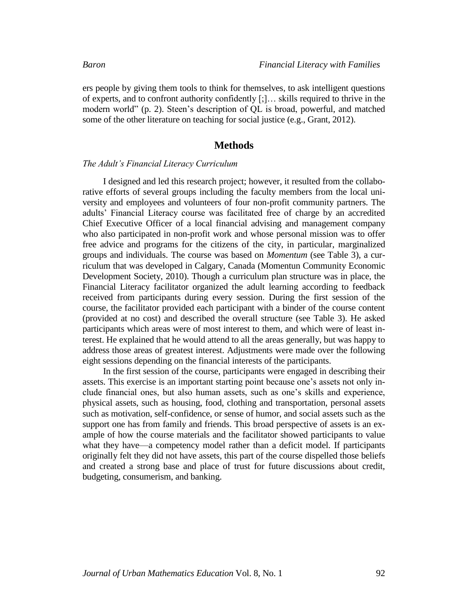ers people by giving them tools to think for themselves, to ask intelligent questions of experts, and to confront authority confidently [;]… skills required to thrive in the modern world" (p. 2). Steen's description of QL is broad, powerful, and matched some of the other literature on teaching for social justice (e.g., Grant, 2012).

### **Methods**

### *The Adult's Financial Literacy Curriculum*

I designed and led this research project; however, it resulted from the collaborative efforts of several groups including the faculty members from the local university and employees and volunteers of four non-profit community partners. The adults' Financial Literacy course was facilitated free of charge by an accredited Chief Executive Officer of a local financial advising and management company who also participated in non-profit work and whose personal mission was to offer free advice and programs for the citizens of the city, in particular, marginalized groups and individuals. The course was based on *Momentum* (see Table 3), a curriculum that was developed in Calgary, Canada (Momentun Community Economic Development Society, 2010). Though a curriculum plan structure was in place, the Financial Literacy facilitator organized the adult learning according to feedback received from participants during every session. During the first session of the course, the facilitator provided each participant with a binder of the course content (provided at no cost) and described the overall structure (see Table 3). He asked participants which areas were of most interest to them, and which were of least interest. He explained that he would attend to all the areas generally, but was happy to address those areas of greatest interest. Adjustments were made over the following eight sessions depending on the financial interests of the participants.

In the first session of the course, participants were engaged in describing their assets. This exercise is an important starting point because one's assets not only include financial ones, but also human assets, such as one's skills and experience, physical assets, such as housing, food, clothing and transportation, personal assets such as motivation, self-confidence, or sense of humor, and social assets such as the support one has from family and friends. This broad perspective of assets is an example of how the course materials and the facilitator showed participants to value what they have—a competency model rather than a deficit model. If participants originally felt they did not have assets, this part of the course dispelled those beliefs and created a strong base and place of trust for future discussions about credit, budgeting, consumerism, and banking.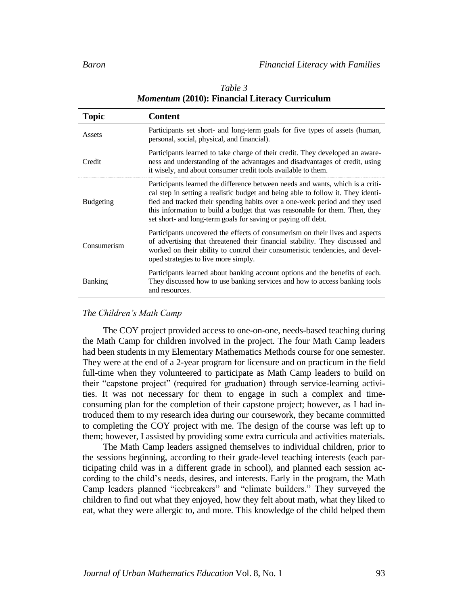| <b>Topic</b>     | <b>Content</b>                                                                                                                                                                                                                                                                                                                                                                                    |  |
|------------------|---------------------------------------------------------------------------------------------------------------------------------------------------------------------------------------------------------------------------------------------------------------------------------------------------------------------------------------------------------------------------------------------------|--|
| Assets           | Participants set short- and long-term goals for five types of assets (human,<br>personal, social, physical, and financial).                                                                                                                                                                                                                                                                       |  |
| Credit           | Participants learned to take charge of their credit. They developed an aware-<br>ness and understanding of the advantages and disadvantages of credit, using<br>it wisely, and about consumer credit tools available to them.                                                                                                                                                                     |  |
| <b>Budgeting</b> | Participants learned the difference between needs and wants, which is a criti-<br>cal step in setting a realistic budget and being able to follow it. They identi-<br>fied and tracked their spending habits over a one-week period and they used<br>this information to build a budget that was reasonable for them. Then, they<br>set short- and long-term goals for saving or paying off debt. |  |
| Consumerism      | Participants uncovered the effects of consumerism on their lives and aspects<br>of advertising that threatened their financial stability. They discussed and<br>worked on their ability to control their consumeristic tendencies, and devel-<br>oped strategies to live more simply.                                                                                                             |  |
| <b>Banking</b>   | Participants learned about banking account options and the benefits of each.<br>They discussed how to use banking services and how to access banking tools<br>and resources.                                                                                                                                                                                                                      |  |

### *Table 3 Momentum* **(2010): Financial Literacy Curriculum**

### *The Children's Math Camp*

The COY project provided access to one-on-one, needs-based teaching during the Math Camp for children involved in the project. The four Math Camp leaders had been students in my Elementary Mathematics Methods course for one semester. They were at the end of a 2-year program for licensure and on practicum in the field full-time when they volunteered to participate as Math Camp leaders to build on their "capstone project" (required for graduation) through service-learning activities. It was not necessary for them to engage in such a complex and timeconsuming plan for the completion of their capstone project; however, as I had introduced them to my research idea during our coursework, they became committed to completing the COY project with me. The design of the course was left up to them; however, I assisted by providing some extra curricula and activities materials.

The Math Camp leaders assigned themselves to individual children, prior to the sessions beginning, according to their grade-level teaching interests (each participating child was in a different grade in school), and planned each session according to the child's needs, desires, and interests. Early in the program, the Math Camp leaders planned "icebreakers" and "climate builders." They surveyed the children to find out what they enjoyed, how they felt about math, what they liked to eat, what they were allergic to, and more. This knowledge of the child helped them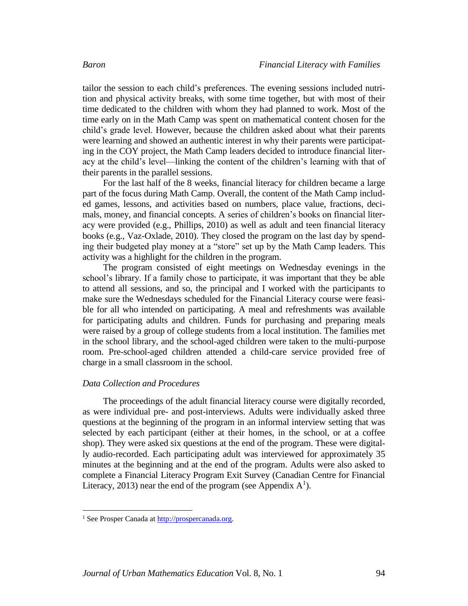tailor the session to each child's preferences. The evening sessions included nutrition and physical activity breaks, with some time together, but with most of their time dedicated to the children with whom they had planned to work. Most of the time early on in the Math Camp was spent on mathematical content chosen for the child's grade level. However, because the children asked about what their parents were learning and showed an authentic interest in why their parents were participating in the COY project, the Math Camp leaders decided to introduce financial literacy at the child's level—linking the content of the children's learning with that of their parents in the parallel sessions.

For the last half of the 8 weeks, financial literacy for children became a large part of the focus during Math Camp. Overall, the content of the Math Camp included games, lessons, and activities based on numbers, place value, fractions, decimals, money, and financial concepts. A series of children's books on financial literacy were provided (e.g., Phillips, 2010) as well as adult and teen financial literacy books (e.g., Vaz-Oxlade, 2010). They closed the program on the last day by spending their budgeted play money at a "store" set up by the Math Camp leaders. This activity was a highlight for the children in the program.

The program consisted of eight meetings on Wednesday evenings in the school's library. If a family chose to participate, it was important that they be able to attend all sessions, and so, the principal and I worked with the participants to make sure the Wednesdays scheduled for the Financial Literacy course were feasible for all who intended on participating. A meal and refreshments was available for participating adults and children. Funds for purchasing and preparing meals were raised by a group of college students from a local institution. The families met in the school library, and the school-aged children were taken to the multi-purpose room. Pre-school-aged children attended a child-care service provided free of charge in a small classroom in the school.

### *Data Collection and Procedures*

The proceedings of the adult financial literacy course were digitally recorded, as were individual pre- and post-interviews. Adults were individually asked three questions at the beginning of the program in an informal interview setting that was selected by each participant (either at their homes, in the school, or at a coffee shop). They were asked six questions at the end of the program. These were digitally audio-recorded. Each participating adult was interviewed for approximately 35 minutes at the beginning and at the end of the program. Adults were also asked to complete a Financial Literacy Program Exit Survey (Canadian Centre for Financial Literacy, 2013) near the end of the program (see Appendix  $A<sup>1</sup>$ ).

 $\overline{a}$ 

<sup>&</sup>lt;sup>1</sup> See Prosper Canada at [http://prospercanada.org.](http://prospercanada.org/)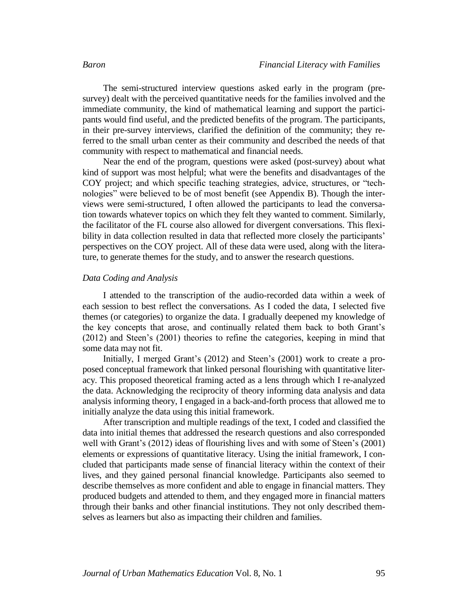The semi-structured interview questions asked early in the program (presurvey) dealt with the perceived quantitative needs for the families involved and the immediate community, the kind of mathematical learning and support the participants would find useful, and the predicted benefits of the program. The participants, in their pre-survey interviews, clarified the definition of the community; they referred to the small urban center as their community and described the needs of that community with respect to mathematical and financial needs.

Near the end of the program, questions were asked (post-survey) about what kind of support was most helpful; what were the benefits and disadvantages of the COY project; and which specific teaching strategies, advice, structures, or "technologies" were believed to be of most benefit (see Appendix B). Though the interviews were semi-structured, I often allowed the participants to lead the conversation towards whatever topics on which they felt they wanted to comment. Similarly, the facilitator of the FL course also allowed for divergent conversations. This flexibility in data collection resulted in data that reflected more closely the participants' perspectives on the COY project. All of these data were used, along with the literature, to generate themes for the study, and to answer the research questions.

### *Data Coding and Analysis*

I attended to the transcription of the audio-recorded data within a week of each session to best reflect the conversations. As I coded the data, I selected five themes (or categories) to organize the data. I gradually deepened my knowledge of the key concepts that arose, and continually related them back to both Grant's (2012) and Steen's (2001) theories to refine the categories, keeping in mind that some data may not fit.

Initially, I merged Grant's (2012) and Steen's (2001) work to create a proposed conceptual framework that linked personal flourishing with quantitative literacy. This proposed theoretical framing acted as a lens through which I re-analyzed the data. Acknowledging the reciprocity of theory informing data analysis and data analysis informing theory, I engaged in a back-and-forth process that allowed me to initially analyze the data using this initial framework.

After transcription and multiple readings of the text, I coded and classified the data into initial themes that addressed the research questions and also corresponded well with Grant's (2012) ideas of flourishing lives and with some of Steen's (2001) elements or expressions of quantitative literacy. Using the initial framework, I concluded that participants made sense of financial literacy within the context of their lives, and they gained personal financial knowledge. Participants also seemed to describe themselves as more confident and able to engage in financial matters. They produced budgets and attended to them, and they engaged more in financial matters through their banks and other financial institutions. They not only described themselves as learners but also as impacting their children and families.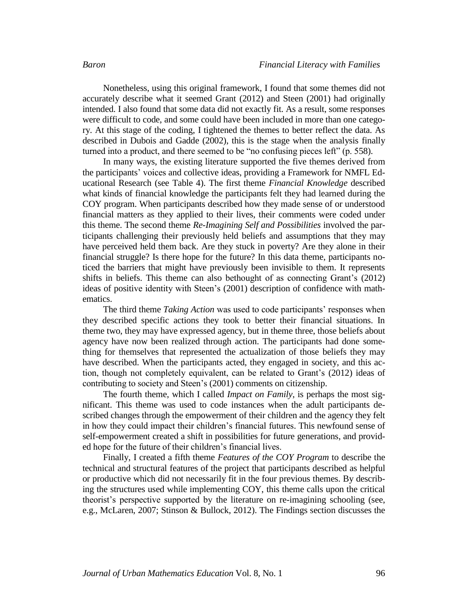Nonetheless, using this original framework, I found that some themes did not accurately describe what it seemed Grant (2012) and Steen (2001) had originally intended. I also found that some data did not exactly fit. As a result, some responses were difficult to code, and some could have been included in more than one category. At this stage of the coding, I tightened the themes to better reflect the data. As described in Dubois and Gadde (2002), this is the stage when the analysis finally turned into a product, and there seemed to be "no confusing pieces left" (p. 558).

In many ways, the existing literature supported the five themes derived from the participants' voices and collective ideas, providing a Framework for NMFL Educational Research (see Table 4). The first theme *Financial Knowledge* described what kinds of financial knowledge the participants felt they had learned during the COY program. When participants described how they made sense of or understood financial matters as they applied to their lives, their comments were coded under this theme. The second theme *Re-Imagining Self and Possibilities* involved the participants challenging their previously held beliefs and assumptions that they may have perceived held them back. Are they stuck in poverty? Are they alone in their financial struggle? Is there hope for the future? In this data theme, participants noticed the barriers that might have previously been invisible to them. It represents shifts in beliefs. This theme can also bethought of as connecting Grant's (2012) ideas of positive identity with Steen's (2001) description of confidence with mathematics.

The third theme *Taking Action* was used to code participants' responses when they described specific actions they took to better their financial situations. In theme two, they may have expressed agency, but in theme three, those beliefs about agency have now been realized through action. The participants had done something for themselves that represented the actualization of those beliefs they may have described. When the participants acted, they engaged in society, and this action, though not completely equivalent, can be related to Grant's (2012) ideas of contributing to society and Steen's (2001) comments on citizenship.

The fourth theme, which I called *Impact on Family*, is perhaps the most significant. This theme was used to code instances when the adult participants described changes through the empowerment of their children and the agency they felt in how they could impact their children's financial futures. This newfound sense of self-empowerment created a shift in possibilities for future generations, and provided hope for the future of their children's financial lives.

Finally, I created a fifth theme *Features of the COY Program* to describe the technical and structural features of the project that participants described as helpful or productive which did not necessarily fit in the four previous themes. By describing the structures used while implementing COY, this theme calls upon the critical theorist's perspective supported by the literature on re-imagining schooling (see, e.g., McLaren, 2007; Stinson & Bullock, 2012). The Findings section discusses the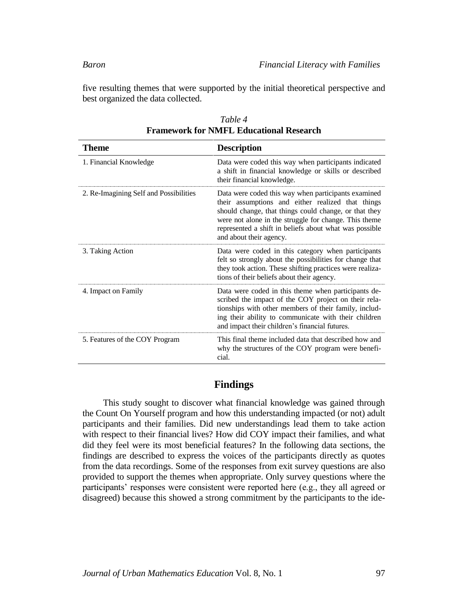five resulting themes that were supported by the initial theoretical perspective and best organized the data collected.

| Theme                                  | <b>Description</b>                                                                                                                                                                                                                                                                                              |
|----------------------------------------|-----------------------------------------------------------------------------------------------------------------------------------------------------------------------------------------------------------------------------------------------------------------------------------------------------------------|
| 1. Financial Knowledge                 | Data were coded this way when participants indicated<br>a shift in financial knowledge or skills or described<br>their financial knowledge.                                                                                                                                                                     |
| 2. Re-Imagining Self and Possibilities | Data were coded this way when participants examined<br>their assumptions and either realized that things<br>should change, that things could change, or that they<br>were not alone in the struggle for change. This theme<br>represented a shift in beliefs about what was possible<br>and about their agency. |
| 3. Taking Action                       | Data were coded in this category when participants<br>felt so strongly about the possibilities for change that<br>they took action. These shifting practices were realiza-<br>tions of their beliefs about their agency.                                                                                        |
| 4. Impact on Family                    | Data were coded in this theme when participants de-<br>scribed the impact of the COY project on their rela-<br>tionships with other members of their family, includ-<br>ing their ability to communicate with their children<br>and impact their children's financial futures.                                  |
| 5. Features of the COY Program         | This final theme included data that described how and<br>why the structures of the COY program were benefi-<br>cial.                                                                                                                                                                                            |

| Table 4                                        |  |
|------------------------------------------------|--|
| <b>Framework for NMFL Educational Research</b> |  |

### **Findings**

This study sought to discover what financial knowledge was gained through the Count On Yourself program and how this understanding impacted (or not) adult participants and their families. Did new understandings lead them to take action with respect to their financial lives? How did COY impact their families, and what did they feel were its most beneficial features? In the following data sections, the findings are described to express the voices of the participants directly as quotes from the data recordings. Some of the responses from exit survey questions are also provided to support the themes when appropriate. Only survey questions where the participants' responses were consistent were reported here (e.g., they all agreed or disagreed) because this showed a strong commitment by the participants to the ide-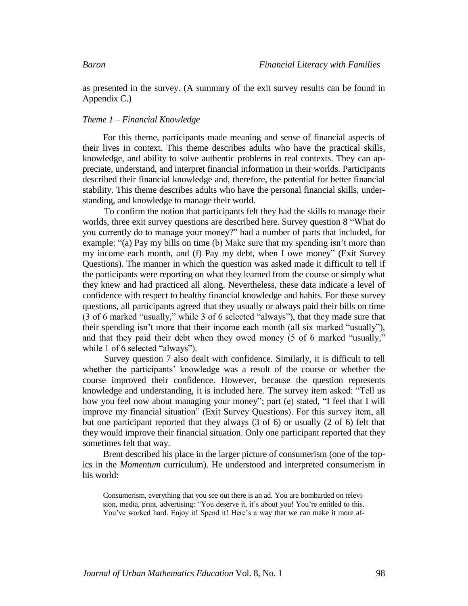as presented in the survey. (A summary of the exit survey results can be found in Appendix C.)

### *Theme 1 – Financial Knowledge*

For this theme, participants made meaning and sense of financial aspects of their lives in context. This theme describes adults who have the practical skills, knowledge, and ability to solve authentic problems in real contexts. They can appreciate, understand, and interpret financial information in their worlds. Participants described their financial knowledge and, therefore, the potential for better financial stability. This theme describes adults who have the personal financial skills, understanding, and knowledge to manage their world.

To confirm the notion that participants felt they had the skills to manage their worlds, three exit survey questions are described here. Survey question 8 "What do you currently do to manage your money?" had a number of parts that included, for example: "(a) Pay my bills on time (b) Make sure that my spending isn't more than my income each month, and (f) Pay my debt, when I owe money" (Exit Survey Questions). The manner in which the question was asked made it difficult to tell if the participants were reporting on what they learned from the course or simply what they knew and had practiced all along. Nevertheless, these data indicate a level of confidence with respect to healthy financial knowledge and habits. For these survey questions, all participants agreed that they usually or always paid their bills on time (3 of 6 marked "usually," while 3 of 6 selected "always"), that they made sure that their spending isn't more that their income each month (all six marked "usually"), and that they paid their debt when they owed money (5 of 6 marked "usually," while 1 of 6 selected "always").

Survey question 7 also dealt with confidence. Similarly, it is difficult to tell whether the participants' knowledge was a result of the course or whether the course improved their confidence. However, because the question represents knowledge and understanding, it is included here. The survey item asked: "Tell us how you feel now about managing your money"; part (e) stated, "I feel that I will improve my financial situation" (Exit Survey Questions). For this survey item, all but one participant reported that they always (3 of 6) or usually (2 of 6) felt that they would improve their financial situation. Only one participant reported that they sometimes felt that way.

Brent described his place in the larger picture of consumerism (one of the topics in the *Momentum* curriculum). He understood and interpreted consumerism in his world:

Consumerism, everything that you see out there is an ad. You are bombarded on television, media, print, advertising: "You deserve it, it's about you! You're entitled to this. You've worked hard. Enjoy it! Spend it! Here's a way that we can make it more af-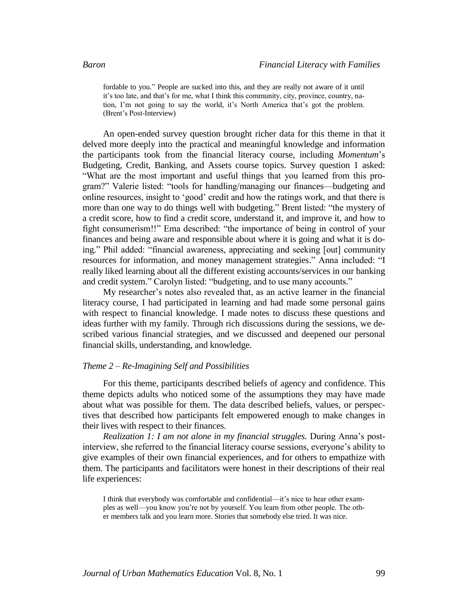fordable to you." People are sucked into this, and they are really not aware of it until it's too late, and that's for me, what I think this community, city, province, country, nation, I'm not going to say the world, it's North America that's got the problem. (Brent's Post-Interview)

An open-ended survey question brought richer data for this theme in that it delved more deeply into the practical and meaningful knowledge and information the participants took from the financial literacy course, including *Momentum*'s Budgeting, Credit, Banking, and Assets course topics. Survey question 1 asked: "What are the most important and useful things that you learned from this program?" Valerie listed: "tools for handling/managing our finances—budgeting and online resources, insight to 'good' credit and how the ratings work, and that there is more than one way to do things well with budgeting." Brent listed: "the mystery of a credit score, how to find a credit score, understand it, and improve it, and how to fight consumerism!!" Ema described: "the importance of being in control of your finances and being aware and responsible about where it is going and what it is doing." Phil added: "financial awareness, appreciating and seeking [out] community resources for information, and money management strategies." Anna included: "I really liked learning about all the different existing accounts/services in our banking and credit system." Carolyn listed: "budgeting, and to use many accounts."

My researcher's notes also revealed that, as an active learner in the financial literacy course, I had participated in learning and had made some personal gains with respect to financial knowledge. I made notes to discuss these questions and ideas further with my family. Through rich discussions during the sessions, we described various financial strategies, and we discussed and deepened our personal financial skills, understanding, and knowledge.

### *Theme 2 – Re-Imagining Self and Possibilities*

For this theme, participants described beliefs of agency and confidence. This theme depicts adults who noticed some of the assumptions they may have made about what was possible for them. The data described beliefs, values, or perspectives that described how participants felt empowered enough to make changes in their lives with respect to their finances.

*Realization 1: I am not alone in my financial struggles.* During Anna's postinterview, she referred to the financial literacy course sessions, everyone's ability to give examples of their own financial experiences, and for others to empathize with them. The participants and facilitators were honest in their descriptions of their real life experiences:

I think that everybody was comfortable and confidential—it's nice to hear other examples as well—you know you're not by yourself. You learn from other people. The other members talk and you learn more. Stories that somebody else tried. It was nice.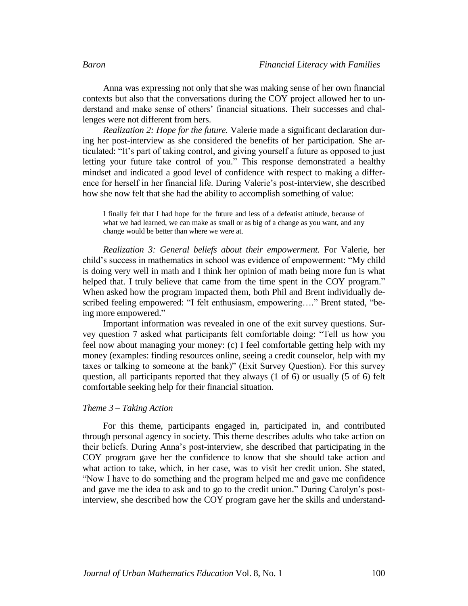Anna was expressing not only that she was making sense of her own financial contexts but also that the conversations during the COY project allowed her to understand and make sense of others' financial situations. Their successes and challenges were not different from hers.

*Realization 2: Hope for the future.* Valerie made a significant declaration during her post-interview as she considered the benefits of her participation. She articulated: "It's part of taking control, and giving yourself a future as opposed to just letting your future take control of you." This response demonstrated a healthy mindset and indicated a good level of confidence with respect to making a difference for herself in her financial life. During Valerie's post-interview, she described how she now felt that she had the ability to accomplish something of value:

I finally felt that I had hope for the future and less of a defeatist attitude, because of what we had learned, we can make as small or as big of a change as you want, and any change would be better than where we were at.

*Realization 3: General beliefs about their empowerment.* For Valerie, her child's success in mathematics in school was evidence of empowerment: "My child is doing very well in math and I think her opinion of math being more fun is what helped that. I truly believe that came from the time spent in the COY program." When asked how the program impacted them, both Phil and Brent individually described feeling empowered: "I felt enthusiasm, empowering…." Brent stated, "being more empowered."

Important information was revealed in one of the exit survey questions. Survey question 7 asked what participants felt comfortable doing: "Tell us how you feel now about managing your money: (c) I feel comfortable getting help with my money (examples: finding resources online, seeing a credit counselor, help with my taxes or talking to someone at the bank)" (Exit Survey Question). For this survey question, all participants reported that they always (1 of 6) or usually (5 of 6) felt comfortable seeking help for their financial situation.

### *Theme 3 – Taking Action*

For this theme, participants engaged in, participated in, and contributed through personal agency in society. This theme describes adults who take action on their beliefs. During Anna's post-interview, she described that participating in the COY program gave her the confidence to know that she should take action and what action to take, which, in her case, was to visit her credit union. She stated, "Now I have to do something and the program helped me and gave me confidence and gave me the idea to ask and to go to the credit union." During Carolyn's postinterview, she described how the COY program gave her the skills and understand-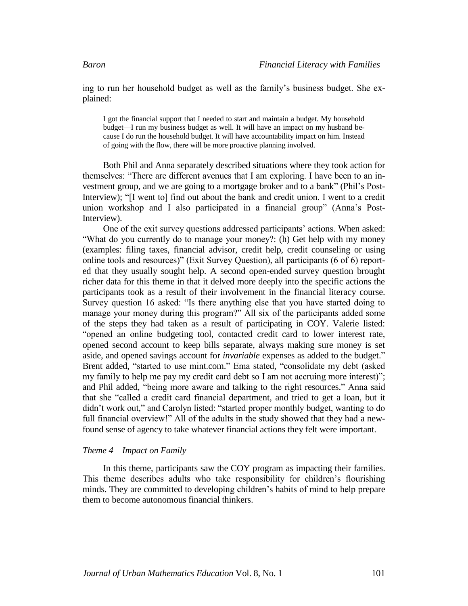ing to run her household budget as well as the family's business budget. She explained:

I got the financial support that I needed to start and maintain a budget. My household budget—I run my business budget as well. It will have an impact on my husband because I do run the household budget. It will have accountability impact on him. Instead of going with the flow, there will be more proactive planning involved.

Both Phil and Anna separately described situations where they took action for themselves: "There are different avenues that I am exploring. I have been to an investment group, and we are going to a mortgage broker and to a bank" (Phil's Post-Interview); "[I went to] find out about the bank and credit union. I went to a credit union workshop and I also participated in a financial group" (Anna's Post-Interview).

One of the exit survey questions addressed participants' actions. When asked: "What do you currently do to manage your money?: (h) Get help with my money (examples: filing taxes, financial advisor, credit help, credit counseling or using online tools and resources)" (Exit Survey Question), all participants (6 of 6) reported that they usually sought help. A second open-ended survey question brought richer data for this theme in that it delved more deeply into the specific actions the participants took as a result of their involvement in the financial literacy course. Survey question 16 asked: "Is there anything else that you have started doing to manage your money during this program?" All six of the participants added some of the steps they had taken as a result of participating in COY. Valerie listed: "opened an online budgeting tool, contacted credit card to lower interest rate, opened second account to keep bills separate, always making sure money is set aside, and opened savings account for *invariable* expenses as added to the budget." Brent added, "started to use mint.com." Ema stated, "consolidate my debt (asked my family to help me pay my credit card debt so I am not accruing more interest)"; and Phil added, "being more aware and talking to the right resources." Anna said that she "called a credit card financial department, and tried to get a loan, but it didn't work out," and Carolyn listed: "started proper monthly budget, wanting to do full financial overview!" All of the adults in the study showed that they had a newfound sense of agency to take whatever financial actions they felt were important.

### *Theme 4 – Impact on Family*

In this theme, participants saw the COY program as impacting their families. This theme describes adults who take responsibility for children's flourishing minds. They are committed to developing children's habits of mind to help prepare them to become autonomous financial thinkers.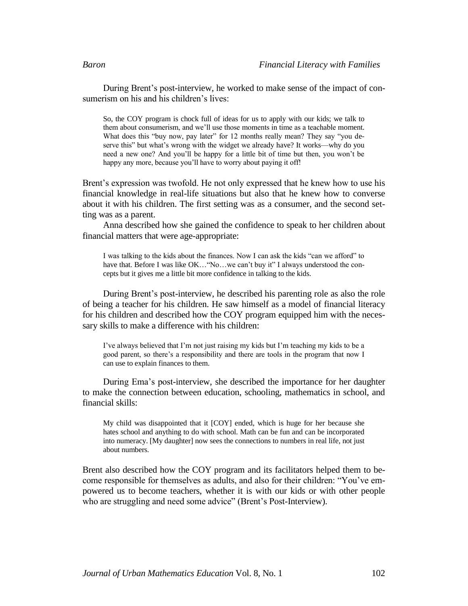During Brent's post-interview, he worked to make sense of the impact of consumerism on his and his children's lives:

So, the COY program is chock full of ideas for us to apply with our kids; we talk to them about consumerism, and we'll use those moments in time as a teachable moment. What does this "buy now, pay later" for 12 months really mean? They say "you deserve this" but what's wrong with the widget we already have? It works—why do you need a new one? And you'll be happy for a little bit of time but then, you won't be happy any more, because you'll have to worry about paying it off!

Brent's expression was twofold. He not only expressed that he knew how to use his financial knowledge in real-life situations but also that he knew how to converse about it with his children. The first setting was as a consumer, and the second setting was as a parent.

Anna described how she gained the confidence to speak to her children about financial matters that were age-appropriate:

I was talking to the kids about the finances. Now I can ask the kids "can we afford" to have that. Before I was like OK... "No...we can't buy it" I always understood the concepts but it gives me a little bit more confidence in talking to the kids.

During Brent's post-interview, he described his parenting role as also the role of being a teacher for his children. He saw himself as a model of financial literacy for his children and described how the COY program equipped him with the necessary skills to make a difference with his children:

I've always believed that I'm not just raising my kids but I'm teaching my kids to be a good parent, so there's a responsibility and there are tools in the program that now I can use to explain finances to them.

During Ema's post-interview, she described the importance for her daughter to make the connection between education, schooling, mathematics in school, and financial skills:

My child was disappointed that it [COY] ended, which is huge for her because she hates school and anything to do with school. Math can be fun and can be incorporated into numeracy. [My daughter] now sees the connections to numbers in real life, not just about numbers.

Brent also described how the COY program and its facilitators helped them to become responsible for themselves as adults, and also for their children: "You've empowered us to become teachers, whether it is with our kids or with other people who are struggling and need some advice" (Brent's Post-Interview).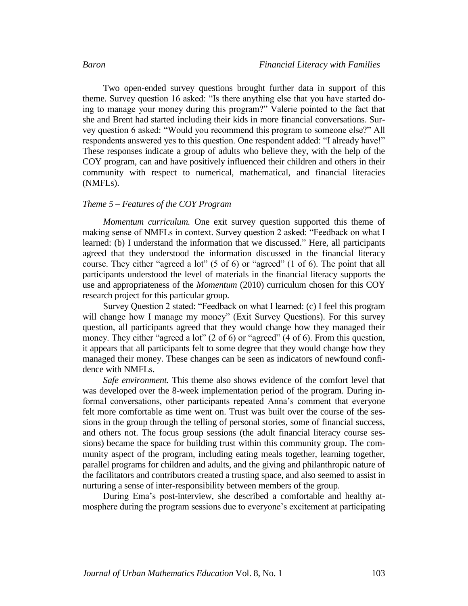Two open-ended survey questions brought further data in support of this theme. Survey question 16 asked: "Is there anything else that you have started doing to manage your money during this program?" Valerie pointed to the fact that she and Brent had started including their kids in more financial conversations. Survey question 6 asked: "Would you recommend this program to someone else?" All respondents answered yes to this question. One respondent added: "I already have!" These responses indicate a group of adults who believe they, with the help of the COY program, can and have positively influenced their children and others in their community with respect to numerical, mathematical, and financial literacies (NMFLs).

### *Theme 5 – Features of the COY Program*

*Momentum curriculum.* One exit survey question supported this theme of making sense of NMFLs in context. Survey question 2 asked: "Feedback on what I learned: (b) I understand the information that we discussed." Here, all participants agreed that they understood the information discussed in the financial literacy course. They either "agreed a lot" (5 of 6) or "agreed" (1 of 6). The point that all participants understood the level of materials in the financial literacy supports the use and appropriateness of the *Momentum* (2010) curriculum chosen for this COY research project for this particular group.

Survey Question 2 stated: "Feedback on what I learned: (c) I feel this program will change how I manage my money" (Exit Survey Questions). For this survey question, all participants agreed that they would change how they managed their money. They either "agreed a lot" (2 of 6) or "agreed" (4 of 6). From this question, it appears that all participants felt to some degree that they would change how they managed their money. These changes can be seen as indicators of newfound confidence with NMFLs.

*Safe environment.* This theme also shows evidence of the comfort level that was developed over the 8-week implementation period of the program. During informal conversations, other participants repeated Anna's comment that everyone felt more comfortable as time went on. Trust was built over the course of the sessions in the group through the telling of personal stories, some of financial success, and others not. The focus group sessions (the adult financial literacy course sessions) became the space for building trust within this community group. The community aspect of the program, including eating meals together, learning together, parallel programs for children and adults, and the giving and philanthropic nature of the facilitators and contributors created a trusting space, and also seemed to assist in nurturing a sense of inter-responsibility between members of the group.

During Ema's post-interview, she described a comfortable and healthy atmosphere during the program sessions due to everyone's excitement at participating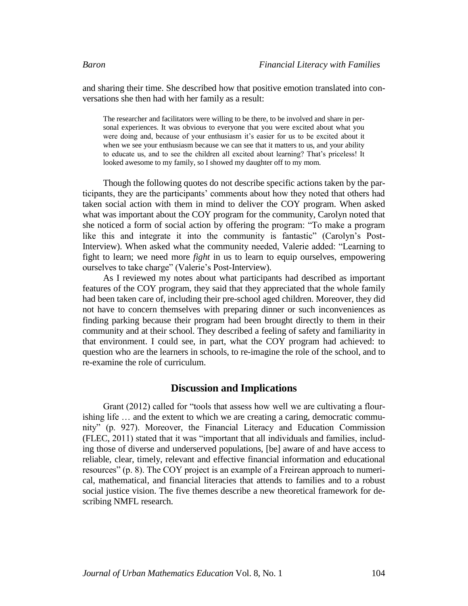and sharing their time. She described how that positive emotion translated into conversations she then had with her family as a result:

The researcher and facilitators were willing to be there, to be involved and share in personal experiences. It was obvious to everyone that you were excited about what you were doing and, because of your enthusiasm it's easier for us to be excited about it when we see your enthusiasm because we can see that it matters to us, and your ability to educate us, and to see the children all excited about learning? That's priceless! It looked awesome to my family, so I showed my daughter off to my mom.

Though the following quotes do not describe specific actions taken by the participants, they are the participants' comments about how they noted that others had taken social action with them in mind to deliver the COY program. When asked what was important about the COY program for the community, Carolyn noted that she noticed a form of social action by offering the program: "To make a program like this and integrate it into the community is fantastic" (Carolyn's Post-Interview). When asked what the community needed, Valerie added: "Learning to fight to learn; we need more *fight* in us to learn to equip ourselves, empowering ourselves to take charge" (Valerie's Post-Interview).

As I reviewed my notes about what participants had described as important features of the COY program, they said that they appreciated that the whole family had been taken care of, including their pre-school aged children. Moreover, they did not have to concern themselves with preparing dinner or such inconveniences as finding parking because their program had been brought directly to them in their community and at their school. They described a feeling of safety and familiarity in that environment. I could see, in part, what the COY program had achieved: to question who are the learners in schools, to re-imagine the role of the school, and to re-examine the role of curriculum.

### **Discussion and Implications**

Grant (2012) called for "tools that assess how well we are cultivating a flourishing life … and the extent to which we are creating a caring, democratic community" (p. 927). Moreover, the Financial Literacy and Education Commission (FLEC, 2011) stated that it was "important that all individuals and families, including those of diverse and underserved populations, [be] aware of and have access to reliable, clear, timely, relevant and effective financial information and educational resources" (p. 8). The COY project is an example of a Freirean approach to numerical, mathematical, and financial literacies that attends to families and to a robust social justice vision. The five themes describe a new theoretical framework for describing NMFL research.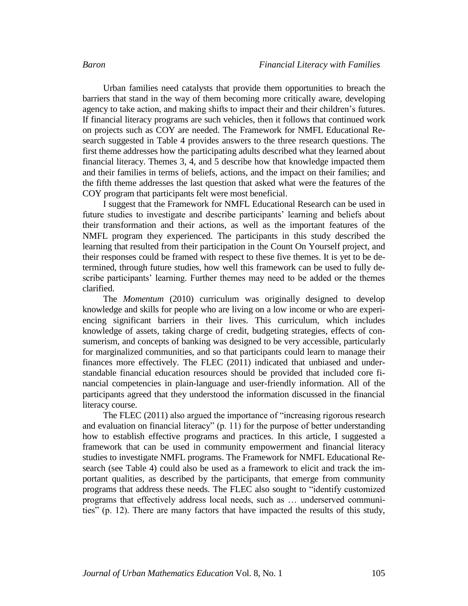Urban families need catalysts that provide them opportunities to breach the barriers that stand in the way of them becoming more critically aware, developing agency to take action, and making shifts to impact their and their children's futures. If financial literacy programs are such vehicles, then it follows that continued work on projects such as COY are needed. The Framework for NMFL Educational Research suggested in Table 4 provides answers to the three research questions. The first theme addresses how the participating adults described what they learned about financial literacy. Themes 3, 4, and 5 describe how that knowledge impacted them and their families in terms of beliefs, actions, and the impact on their families; and the fifth theme addresses the last question that asked what were the features of the COY program that participants felt were most beneficial.

I suggest that the Framework for NMFL Educational Research can be used in future studies to investigate and describe participants' learning and beliefs about their transformation and their actions, as well as the important features of the NMFL program they experienced. The participants in this study described the learning that resulted from their participation in the Count On Yourself project, and their responses could be framed with respect to these five themes. It is yet to be determined, through future studies, how well this framework can be used to fully describe participants' learning. Further themes may need to be added or the themes clarified.

The *Momentum* (2010) curriculum was originally designed to develop knowledge and skills for people who are living on a low income or who are experiencing significant barriers in their lives. This curriculum, which includes knowledge of assets, taking charge of credit, budgeting strategies, effects of consumerism, and concepts of banking was designed to be very accessible, particularly for marginalized communities, and so that participants could learn to manage their finances more effectively. The FLEC (2011) indicated that unbiased and understandable financial education resources should be provided that included core financial competencies in plain-language and user-friendly information. All of the participants agreed that they understood the information discussed in the financial literacy course.

The FLEC (2011) also argued the importance of "increasing rigorous research and evaluation on financial literacy" (p. 11) for the purpose of better understanding how to establish effective programs and practices. In this article, I suggested a framework that can be used in community empowerment and financial literacy studies to investigate NMFL programs. The Framework for NMFL Educational Research (see Table 4) could also be used as a framework to elicit and track the important qualities, as described by the participants, that emerge from community programs that address these needs. The FLEC also sought to "identify customized programs that effectively address local needs, such as … underserved communities" (p. 12). There are many factors that have impacted the results of this study,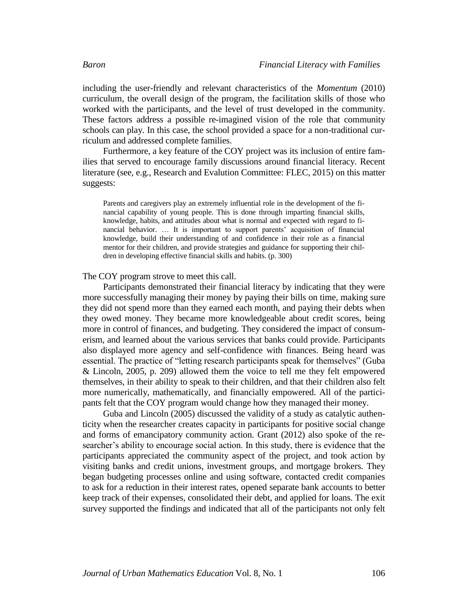including the user-friendly and relevant characteristics of the *Momentum* (2010) curriculum, the overall design of the program, the facilitation skills of those who worked with the participants, and the level of trust developed in the community. These factors address a possible re-imagined vision of the role that community schools can play. In this case, the school provided a space for a non-traditional curriculum and addressed complete families.

Furthermore, a key feature of the COY project was its inclusion of entire families that served to encourage family discussions around financial literacy. Recent literature (see, e.g., Research and Evalution Committee: FLEC, 2015) on this matter suggests:

Parents and caregivers play an extremely influential role in the development of the financial capability of young people. This is done through imparting financial skills, knowledge, habits, and attitudes about what is normal and expected with regard to financial behavior. … It is important to support parents' acquisition of financial knowledge, build their understanding of and confidence in their role as a financial mentor for their children, and provide strategies and guidance for supporting their children in developing effective financial skills and habits. (p. 300)

The COY program strove to meet this call.

Participants demonstrated their financial literacy by indicating that they were more successfully managing their money by paying their bills on time, making sure they did not spend more than they earned each month, and paying their debts when they owed money. They became more knowledgeable about credit scores, being more in control of finances, and budgeting. They considered the impact of consumerism, and learned about the various services that banks could provide. Participants also displayed more agency and self-confidence with finances. Being heard was essential. The practice of "letting research participants speak for themselves" (Guba & Lincoln, 2005, p. 209) allowed them the voice to tell me they felt empowered themselves, in their ability to speak to their children, and that their children also felt more numerically, mathematically, and financially empowered. All of the participants felt that the COY program would change how they managed their money.

Guba and Lincoln (2005) discussed the validity of a study as catalytic authenticity when the researcher creates capacity in participants for positive social change and forms of emancipatory community action. Grant (2012) also spoke of the researcher's ability to encourage social action. In this study, there is evidence that the participants appreciated the community aspect of the project, and took action by visiting banks and credit unions, investment groups, and mortgage brokers. They began budgeting processes online and using software, contacted credit companies to ask for a reduction in their interest rates, opened separate bank accounts to better keep track of their expenses, consolidated their debt, and applied for loans. The exit survey supported the findings and indicated that all of the participants not only felt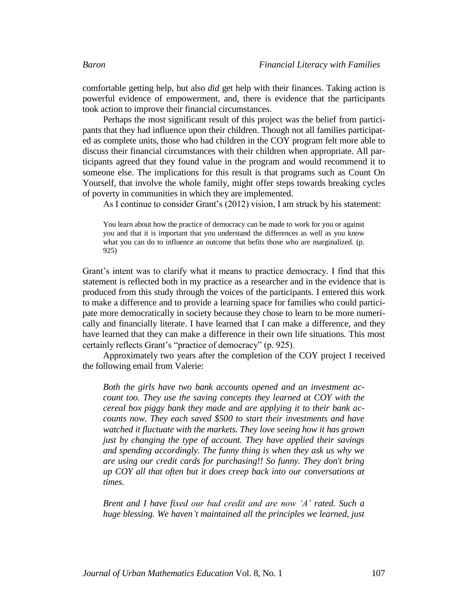comfortable getting help, but also *did* get help with their finances. Taking action is powerful evidence of empowerment, and, there is evidence that the participants took action to improve their financial circumstances.

Perhaps the most significant result of this project was the belief from participants that they had influence upon their children. Though not all families participated as complete units, those who had children in the COY program felt more able to discuss their financial circumstances with their children when appropriate. All participants agreed that they found value in the program and would recommend it to someone else. The implications for this result is that programs such as Count On Yourself, that involve the whole family, might offer steps towards breaking cycles of poverty in communities in which they are implemented.

As I continue to consider Grant's (2012) vision, I am struck by his statement:

You learn about how the practice of democracy can be made to work for you or against you and that it is important that you understand the differences as well as you know what you can do to influence an outcome that befits those who are marginalized. (p. 925)

Grant's intent was to clarify what it means to practice democracy. I find that this statement is reflected both in my practice as a researcher and in the evidence that is produced from this study through the voices of the participants. I entered this work to make a difference and to provide a learning space for families who could participate more democratically in society because they chose to learn to be more numerically and financially literate. I have learned that I can make a difference, and they have learned that they can make a difference in their own life situations. This most certainly reflects Grant's "practice of democracy" (p. 925).

Approximately two years after the completion of the COY project I received the following email from Valerie:

*Both the girls have two bank accounts opened and an investment account too. They use the saving concepts they learned at COY with the cereal box piggy bank they made and are applying it to their bank accounts now. They each saved \$500 to start their investments and have watched it fluctuate with the markets. They love seeing how it has grown just by changing the type of account. They have applied their savings and spending accordingly. The funny thing is when they ask us why we are using our credit cards for purchasing!! So funny. They don't bring up COY all that often but it does creep back into our conversations at times.*

*Brent and I have fixed our bad credit and are now 'A' rated. Such a huge blessing. We haven't maintained all the principles we learned, just*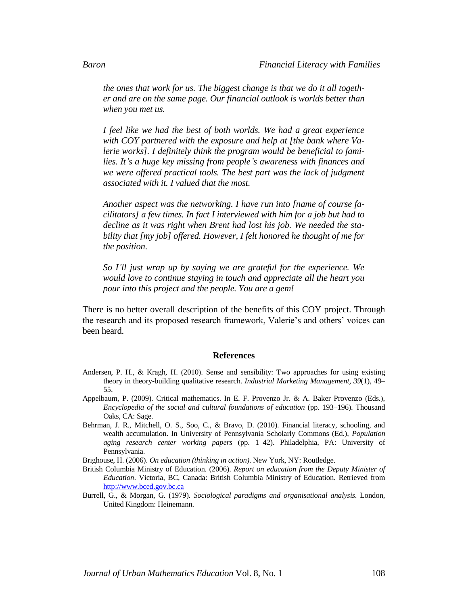*the ones that work for us. The biggest change is that we do it all together and are on the same page. Our financial outlook is worlds better than when you met us.*

*I feel like we had the best of both worlds. We had a great experience with COY partnered with the exposure and help at [the bank where Valerie works]. I definitely think the program would be beneficial to families. It's a huge key missing from people's awareness with finances and we were offered practical tools. The best part was the lack of judgment associated with it. I valued that the most.*

*Another aspect was the networking. I have run into [name of course facilitators] a few times. In fact I interviewed with him for a job but had to decline as it was right when Brent had lost his job. We needed the stability that [my job] offered. However, I felt honored he thought of me for the position.*

*So I'll just wrap up by saying we are grateful for the experience. We would love to continue staying in touch and appreciate all the heart you pour into this project and the people. You are a gem!*

There is no better overall description of the benefits of this COY project. Through the research and its proposed research framework, Valerie's and others' voices can been heard.

### **References**

- Andersen, P. H., & Kragh, H. (2010). Sense and sensibility: Two approaches for using existing theory in theory-building qualitative research. *Industrial Marketing Management, 39*(1), 49– 55.
- Appelbaum, P. (2009). Critical mathematics. In E. F. Provenzo Jr. & A. Baker Provenzo (Eds.), *Encyclopedia of the social and cultural foundations of education* (pp. 193–196). Thousand Oaks, CA: Sage.
- Behrman, J. R., Mitchell, O. S., Soo, C., & Bravo, D. (2010). Financial literacy, schooling, and wealth accumulation. In University of Pennsylvania Scholarly Commons (Ed.), *Population aging research center working papers* (pp. 1–42). Philadelphia, PA: University of Pennsylvania.

Brighouse, H. (2006). *On education (thinking in action)*. New York, NY: Routledge.

- British Columbia Ministry of Education. (2006). *Report on education from the Deputy Minister of Education*. Victoria, BC, Canada: British Columbia Ministry of Education. Retrieved from [http://www.bced.gov.bc.ca](http://www.bced.gov.bc.ca/)
- Burrell, G., & Morgan, G. (1979). *Sociological paradigms and organisational analysis*. London, United Kingdom: Heinemann.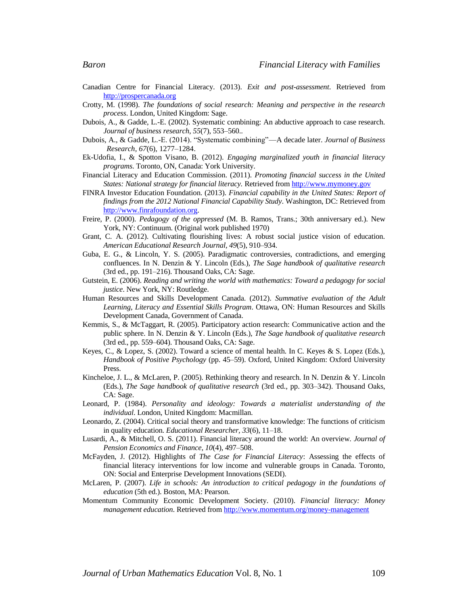- Canadian Centre for Financial Literacy. (2013). *Exit and post-assessment*. Retrieved from [http://prospercanada.org](http://prospercanada.org/)
- Crotty, M. (1998). *The foundations of social research: Meaning and perspective in the research process*. London, United Kingdom: Sage.
- Dubois, A., & Gadde, L.-E. (2002). Systematic combining: An abductive approach to case research. *Journal of business research*, *55*(7), 553–560..
- Dubois, A., & Gadde, L.-E. (2014). "Systematic combining"—A decade later. *Journal of Business Research, 67*(6), 1277–1284.
- Ek-Udofia, I., & Spotton Visano, B. (2012). *Engaging marginalized youth in financial literacy programs*. Toronto, ON, Canada: York University.
- Financial Literacy and Education Commission. (2011). *Promoting financial success in the United States: National strategy for financial literacy.* Retrieved from [http://www.mymoney.gov](http://www.mymoney.gov/)
- FINRA Investor Education Foundation. (2013). *Financial capability in the United States: Report of findings from the 2012 National Financial Capability Study*. Washington, DC: Retrieved from [http://www.finrafoundation.org.](http://www.finrafoundation.org/)
- Freire, P. (2000). *Pedagogy of the oppressed* (M. B. Ramos, Trans.; 30th anniversary ed.). New York, NY: Continuum. (Original work published 1970)
- Grant, C. A. (2012). Cultivating flourishing lives: A robust social justice vision of education. *American Educational Research Journal, 49*(5), 910–934.
- Guba, E. G., & Lincoln, Y. S. (2005). Paradigmatic controversies, contradictions, and emerging confluences. In N. Denzin & Y. Lincoln (Eds.), *The Sage handbook of qualitative research* (3rd ed., pp. 191–216). Thousand Oaks, CA: Sage.
- Gutstein, E. (2006). *Reading and writing the world with mathematics: Toward a pedagogy for social justice*. New York, NY: Routledge.
- Human Resources and Skills Development Canada. (2012). *Summative evaluation of the Adult Learning, Literacy and Essential Skills Program*. Ottawa, ON: Human Resources and Skills Development Canada, Government of Canada.
- Kemmis, S., & McTaggart, R. (2005). Participatory action research: Communicative action and the public sphere. In N. Denzin & Y. Lincoln (Eds.), *The Sage handbook of qualitative research* (3rd ed., pp. 559–604). Thousand Oaks, CA: Sage.
- Keyes, C., & Lopez, S. (2002). Toward a science of mental health. In C. Keyes & S. Lopez (Eds.), *Handbook of Positive Psychology* (pp. 45–59). Oxford, United Kingdom: Oxford University Press.
- Kincheloe, J. L., & McLaren, P. (2005). Rethinking theory and research. In N. Denzin & Y. Lincoln (Eds.), *The Sage handbook of qualitative research* (3rd ed., pp. 303–342). Thousand Oaks, CA: Sage.
- Leonard, P. (1984). *Personality and ideology: Towards a materialist understanding of the individual*. London, United Kingdom: Macmillan.
- Leonardo, Z. (2004). Critical social theory and transformative knowledge: The functions of criticism in quality education. *Educational Researcher, 33*(6), 11–18.
- Lusardi, A., & Mitchell, O. S. (2011). Financial literacy around the world: An overview. *Journal of Pension Economics and Finance, 10*(4), 497–508.
- McFayden, J. (2012). Highlights of *The Case for Financial Literacy*: Assessing the effects of financial literacy interventions for low income and vulnerable groups in Canada. Toronto, ON: Social and Enterprise Development Innovations (SEDI).
- McLaren, P. (2007). *Life in schools: An introduction to critical pedagogy in the foundations of education* (5th ed.). Boston, MA: Pearson.
- Momentum Community Economic Development Society. (2010). *Financial literacy: Money management education*. Retrieved from<http://www.momentum.org/money-management>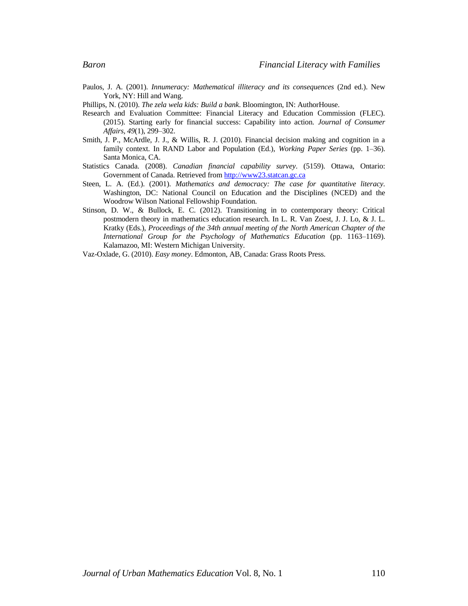- Paulos, J. A. (2001). *Innumeracy: Mathematical illiteracy and its consequences* (2nd ed.). New York, NY: Hill and Wang.
- Phillips, N. (2010). *The zela wela kids: Build a bank*. Bloomington, IN: AuthorHouse.
- Research and Evaluation Committee: Financial Literacy and Education Commission (FLEC). (2015). Starting early for financial success: Capability into action. *Journal of Consumer Affairs, 49*(1), 299–302.
- Smith, J. P., McArdle, J. J., & Willis, R. J. (2010). Financial decision making and cognition in a family context. In RAND Labor and Population (Ed.), *Working Paper Series* (pp. 1–36). Santa Monica, CA.
- Statistics Canada. (2008). *Canadian financial capability survey*. (5159). Ottawa, Ontario: Government of Canada. Retrieved fro[m http://www23.statcan.gc.ca](http://www23.statcan.gc.ca/)
- Steen, L. A. (Ed.). (2001). *Mathematics and democracy: The case for quantitative literacy*. Washington, DC: National Council on Education and the Disciplines (NCED) and the Woodrow Wilson National Fellowship Foundation.
- Stinson, D. W., & Bullock, E. C. (2012). Transitioning in to contemporary theory: Critical postmodern theory in mathematics education research. In L. R. Van Zoest, J. J. Lo, & J. L. Kratky (Eds.), *Proceedings of the 34th annual meeting of the North American Chapter of the International Group for the Psychology of Mathematics Education* (pp. 1163–1169). Kalamazoo, MI: Western Michigan University.
- Vaz-Oxlade, G. (2010). *Easy money*. Edmonton, AB, Canada: Grass Roots Press.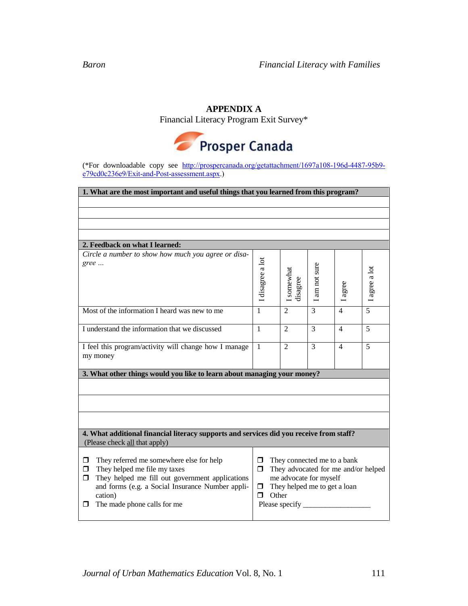### **APPENDIX A**

Financial Literacy Program Exit Survey\*



(\*For downloadable copy see [http://prospercanada.org/getattachment/1697a108-196d-4487-95b9](http://prospercanada.org/getattachment/1697a108-196d-4487-95b9-e79cd0c236e9/Exit-and-Post-assessment.aspx) [e79cd0c236e9/Exit-and-Post-assessment.aspx.](http://prospercanada.org/getattachment/1697a108-196d-4487-95b9-e79cd0c236e9/Exit-and-Post-assessment.aspx))

| 1. What are the most important and useful things that you learned from this program?                                                                                                                                                          |                                                                                                                                                                                       |                        |             |                |               |
|-----------------------------------------------------------------------------------------------------------------------------------------------------------------------------------------------------------------------------------------------|---------------------------------------------------------------------------------------------------------------------------------------------------------------------------------------|------------------------|-------------|----------------|---------------|
|                                                                                                                                                                                                                                               |                                                                                                                                                                                       |                        |             |                |               |
|                                                                                                                                                                                                                                               |                                                                                                                                                                                       |                        |             |                |               |
|                                                                                                                                                                                                                                               |                                                                                                                                                                                       |                        |             |                |               |
|                                                                                                                                                                                                                                               |                                                                                                                                                                                       |                        |             |                |               |
| 2. Feedback on what I learned:                                                                                                                                                                                                                |                                                                                                                                                                                       |                        |             |                |               |
| Circle a number to show how much you agree or disa-<br>gree                                                                                                                                                                                   | I disagree a lot                                                                                                                                                                      | I somewhat<br>disagree | am not sure | agree          | I agree a lot |
| Most of the information I heard was new to me                                                                                                                                                                                                 | 1                                                                                                                                                                                     | $\overline{2}$         | 3           | 4              | 5             |
| I understand the information that we discussed                                                                                                                                                                                                | $\mathbf{1}$                                                                                                                                                                          | $\mathfrak{D}$         | 3           | $\overline{4}$ | 5             |
| I feel this program/activity will change how I manage<br>my money                                                                                                                                                                             | $\mathbf{1}$                                                                                                                                                                          | $\mathfrak{D}$         | 3           | $\overline{4}$ | 5             |
| 3. What other things would you like to learn about managing your money?                                                                                                                                                                       |                                                                                                                                                                                       |                        |             |                |               |
|                                                                                                                                                                                                                                               |                                                                                                                                                                                       |                        |             |                |               |
|                                                                                                                                                                                                                                               |                                                                                                                                                                                       |                        |             |                |               |
|                                                                                                                                                                                                                                               |                                                                                                                                                                                       |                        |             |                |               |
| 4. What additional financial literacy supports and services did you receive from staff?<br>(Please check all that apply)                                                                                                                      |                                                                                                                                                                                       |                        |             |                |               |
| They referred me somewhere else for help<br>□<br>They helped me file my taxes<br>□<br>They helped me fill out government applications<br>□<br>and forms (e.g. a Social Insurance Number appli-<br>cation)<br>The made phone calls for me<br>0 | They connected me to a bank<br>$\Box$<br>They advocated for me and/or helped<br>$\Box$<br>me advocate for myself<br>They helped me to get a loan<br>□<br>Other<br>⊓<br>Please specify |                        |             |                |               |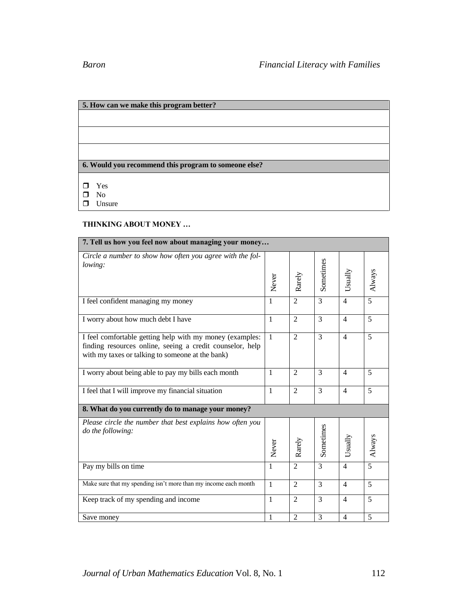# **5. How can we make this program better? 6. Would you recommend this program to someone else?** Yes  $\square$  No **Unsure**

### **THINKING ABOUT MONEY …**

| 7. Tell us how you feel now about managing your money                                                                                                                     |              |                |                |                |        |
|---------------------------------------------------------------------------------------------------------------------------------------------------------------------------|--------------|----------------|----------------|----------------|--------|
| Circle a number to show how often you agree with the fol-<br>lowing:                                                                                                      | Never        | Rarely         | Sometimes      | Usually        | Always |
| I feel confident managing my money                                                                                                                                        | $\mathbf{1}$ | $\overline{2}$ | 3              | $\overline{4}$ | 5      |
| I worry about how much debt I have                                                                                                                                        | $\mathbf{1}$ | $\overline{2}$ | 3              | $\overline{4}$ | 5      |
| I feel comfortable getting help with my money (examples:<br>finding resources online, seeing a credit counselor, help<br>with my taxes or talking to someone at the bank) | $\mathbf{1}$ | 2              | 3              | $\overline{4}$ | 5      |
| I worry about being able to pay my bills each month                                                                                                                       | -1           | $\overline{2}$ | 3              | $\overline{4}$ | 5      |
| I feel that I will improve my financial situation                                                                                                                         | $\mathbf{1}$ | $\overline{2}$ | 3              | $\overline{4}$ | 5      |
| 8. What do you currently do to manage your money?                                                                                                                         |              |                |                |                |        |
| Please circle the number that best explains how often you<br><i>do the following:</i>                                                                                     | Never        | Rarely         | Sometimes      | Usually        | Always |
| Pay my bills on time                                                                                                                                                      | $\mathbf{1}$ | $\overline{2}$ | 3              | $\overline{4}$ | 5      |
| Make sure that my spending isn't more than my income each month                                                                                                           | $\mathbf{1}$ | $\overline{2}$ | 3              | $\overline{4}$ | 5      |
| Keep track of my spending and income                                                                                                                                      | $\mathbf{1}$ | $\overline{2}$ | 3              | $\overline{4}$ | 5      |
| Save money                                                                                                                                                                | $\mathbf{1}$ | $\overline{2}$ | $\overline{3}$ | $\overline{4}$ | 5      |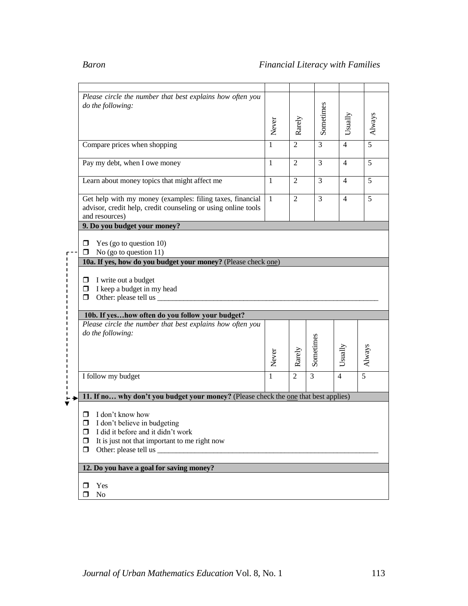| Please circle the number that best explains how often you                           |              |                |           |                |                |
|-------------------------------------------------------------------------------------|--------------|----------------|-----------|----------------|----------------|
| do the following:                                                                   |              |                | Sometimes |                |                |
|                                                                                     |              |                |           |                |                |
|                                                                                     |              |                |           |                | Always         |
|                                                                                     | Never        | Rarely         |           | Usually        |                |
|                                                                                     |              | $\overline{2}$ | 3         | $\overline{4}$ | 5              |
| Compare prices when shopping                                                        | 1            |                |           |                |                |
|                                                                                     |              | $\overline{2}$ | 3         | $\overline{4}$ | 5              |
| Pay my debt, when I owe money                                                       | 1            |                |           |                |                |
|                                                                                     |              |                |           |                |                |
| Learn about money topics that might affect me                                       | $\mathbf{1}$ | $\overline{2}$ | 3         | $\overline{4}$ | 5              |
|                                                                                     |              |                |           |                |                |
| Get help with my money (examples: filing taxes, financial                           | -1           | $\overline{2}$ | 3         | $\overline{4}$ | 5              |
| advisor, credit help, credit counseling or using online tools                       |              |                |           |                |                |
| and resources)                                                                      |              |                |           |                |                |
| 9. Do you budget your money?                                                        |              |                |           |                |                |
|                                                                                     |              |                |           |                |                |
| Yes (go to question 10)<br>□                                                        |              |                |           |                |                |
| No (go to question 11)<br>◻                                                         |              |                |           |                |                |
| 10a. If yes, how do you budget your money? (Please check one)                       |              |                |           |                |                |
|                                                                                     |              |                |           |                |                |
| I write out a budget<br>◻                                                           |              |                |           |                |                |
| I keep a budget in my head<br>$\Box$                                                |              |                |           |                |                |
| Other: please tell us ________<br>□                                                 |              |                |           |                |                |
|                                                                                     |              |                |           |                |                |
| 10b. If yeshow often do you follow your budget?                                     |              |                |           |                |                |
| Please circle the number that best explains how often you                           |              |                |           |                |                |
| do the following:                                                                   |              |                |           |                |                |
|                                                                                     |              |                | Sometimes |                |                |
|                                                                                     |              |                |           |                |                |
|                                                                                     | Never        | Rarely         |           | Usually        | Always         |
|                                                                                     |              |                |           |                |                |
| I follow my budget                                                                  | 1            | $\overline{2}$ | 3         | $\overline{4}$ | $\overline{5}$ |
|                                                                                     |              |                |           |                |                |
|                                                                                     |              |                |           |                |                |
| 11. If no why don't you budget your money? (Please check the one that best applies) |              |                |           |                |                |
|                                                                                     |              |                |           |                |                |
| I don't know how<br>□                                                               |              |                |           |                |                |
| I don't believe in budgeting<br>◘                                                   |              |                |           |                |                |
| I did it before and it didn't work<br>□                                             |              |                |           |                |                |
| It is just not that important to me right now<br>◻                                  |              |                |           |                |                |
| ◻                                                                                   |              |                |           |                |                |
|                                                                                     |              |                |           |                |                |
|                                                                                     |              |                |           |                |                |
| 12. Do you have a goal for saving money?                                            |              |                |           |                |                |
|                                                                                     |              |                |           |                |                |
| Yes<br>◻<br>$\rm No$<br>⊓                                                           |              |                |           |                |                |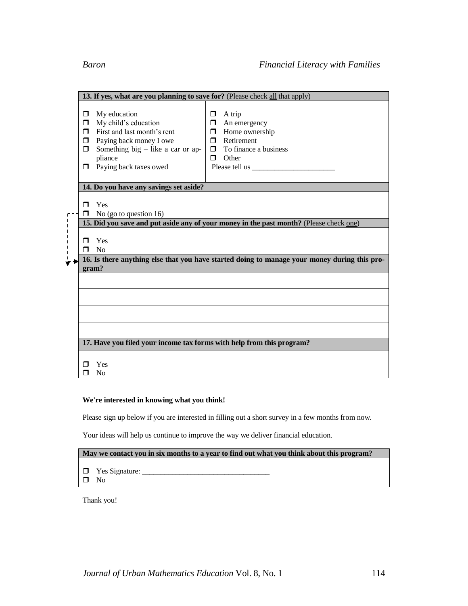----------

| 13. If yes, what are you planning to save for? (Please check all that apply)                                                                                                                             |                                                                                                                                                  |  |  |  |  |  |
|----------------------------------------------------------------------------------------------------------------------------------------------------------------------------------------------------------|--------------------------------------------------------------------------------------------------------------------------------------------------|--|--|--|--|--|
| My education<br>п<br>My child's education<br>□<br>First and last month's rent<br>⊓<br>Paying back money I owe<br>п<br>Something big $-$ like a car or ap-<br>⊓<br>pliance<br>Paying back taxes owed<br>□ | A trip<br>□<br>An emergency<br>□  <br>Home ownership<br>σ.<br>$\Box$ Retirement<br>$\Box$ To finance a business<br>Other<br>П.<br>Please tell us |  |  |  |  |  |
| 14. Do you have any savings set aside?                                                                                                                                                                   |                                                                                                                                                  |  |  |  |  |  |
| Yes<br>⊓<br>No (go to question $16$ )                                                                                                                                                                    |                                                                                                                                                  |  |  |  |  |  |
| 15. Did you save and put aside any of your money in the past month? (Please check one)                                                                                                                   |                                                                                                                                                  |  |  |  |  |  |
| Yes<br>N <sub>o</sub><br>┑                                                                                                                                                                               |                                                                                                                                                  |  |  |  |  |  |
| 16. Is there anything else that you have started doing to manage your money during this pro-<br>gram?                                                                                                    |                                                                                                                                                  |  |  |  |  |  |
|                                                                                                                                                                                                          |                                                                                                                                                  |  |  |  |  |  |
|                                                                                                                                                                                                          |                                                                                                                                                  |  |  |  |  |  |
|                                                                                                                                                                                                          |                                                                                                                                                  |  |  |  |  |  |
|                                                                                                                                                                                                          |                                                                                                                                                  |  |  |  |  |  |
| 17. Have you filed your income tax forms with help from this program?                                                                                                                                    |                                                                                                                                                  |  |  |  |  |  |
| Yes<br>No                                                                                                                                                                                                |                                                                                                                                                  |  |  |  |  |  |

### **We're interested in knowing what you think!**

Please sign up below if you are interested in filling out a short survey in a few months from now.

Your ideas will help us continue to improve the way we deliver financial education.

|  | May we contact you in six months to a year to find out what you think about this program? |
|--|-------------------------------------------------------------------------------------------|

- Yes Signature: \_\_\_\_\_\_\_\_\_\_\_\_\_\_\_\_\_\_\_\_\_\_\_\_\_\_\_\_\_\_\_\_\_\_
- $\qquad \qquad \Box$  No

Thank you!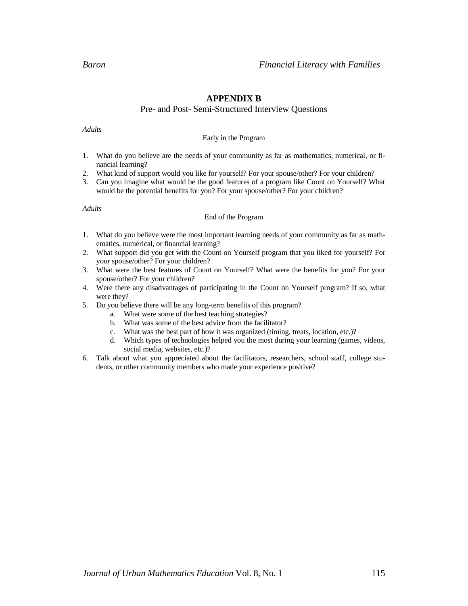### **APPENDIX B**

### Pre- and Post- Semi-Structured Interview Questions

*Adults*

### Early in the Program

- 1. What do you believe are the needs of your community as far as mathematics, numerical, or financial learning?
- 2. What kind of support would you like for yourself? For your spouse/other? For your children?
- 3. Can you imagine what would be the good features of a program like Count on Yourself? What would be the potential benefits for you? For your spouse/other? For your children?

*Adults*

### End of the Program

- 1. What do you believe were the most important learning needs of your community as far as mathematics, numerical, or financial learning?
- 2. What support did you get with the Count on Yourself program that you liked for yourself? For your spouse/other? For your children?
- 3. What were the best features of Count on Yourself? What were the benefits for you? For your spouse/other? For your children?
- 4. Were there any disadvantages of participating in the Count on Yourself program? If so, what were they?
- 5. Do you believe there will be any long-term benefits of this program?
	- a. What were some of the best teaching strategies?
	- b. What was some of the best advice from the facilitator?
	- c. What was the best part of how it was organized (timing, treats, location, etc.)?
	- d. Which types of technologies helped you the most during your learning (games, videos, social media, websites, etc.)?
- 6. Talk about what you appreciated about the facilitators, researchers, school staff, college students, or other community members who made your experience positive?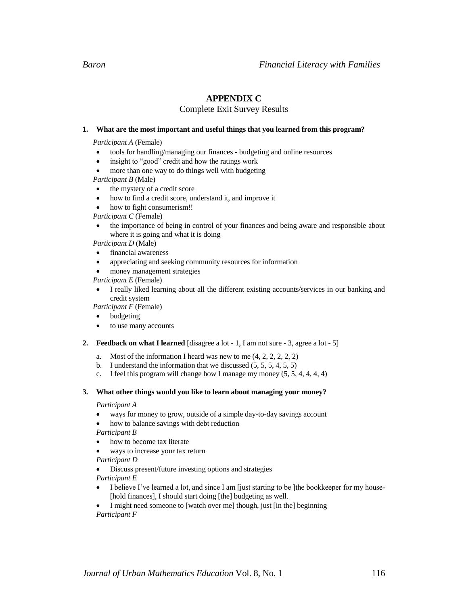### **APPENDIX C**

### Complete Exit Survey Results

### **1. What are the most important and useful things that you learned from this program?**

*Participant A* (Female)

- tools for handling/managing our finances budgeting and online resources
- insight to "good" credit and how the ratings work
- more than one way to do things well with budgeting

*Participant B* (Male)

- the mystery of a credit score
- how to find a credit score, understand it, and improve it
- how to fight consumerism!!

*Participant C* (Female)

 the importance of being in control of your finances and being aware and responsible about where it is going and what it is doing

*Participant D* (Male)

- financial awareness
- appreciating and seeking community resources for information
- money management strategies

*Participant E* (Female)

 I really liked learning about all the different existing accounts/services in our banking and credit system

*Participant F* (Female)

- budgeting
- to use many accounts

### **2. Feedback on what I learned** [disagree a lot - 1, I am not sure - 3, agree a lot - 5]

- a. Most of the information I heard was new to me  $(4, 2, 2, 2, 2, 2)$
- b. I understand the information that we discussed (5, 5, 5, 4, 5, 5)
- c. I feel this program will change how I manage my money (5, 5, 4, 4, 4, 4)

### **3. What other things would you like to learn about managing your money?**

*Participant A*

- ways for money to grow, outside of a simple day-to-day savings account
- how to balance savings with debt reduction

*Participant B*

- how to become tax literate
- ways to increase your tax return

*Participant D*

Discuss present/future investing options and strategies

*Participant E*

- I believe I've learned a lot, and since I am [just starting to be ] the bookkeeper for my house-[hold finances], I should start doing [the] budgeting as well.
- I might need someone to [watch over me] though, just [in the] beginning
- *Participant F*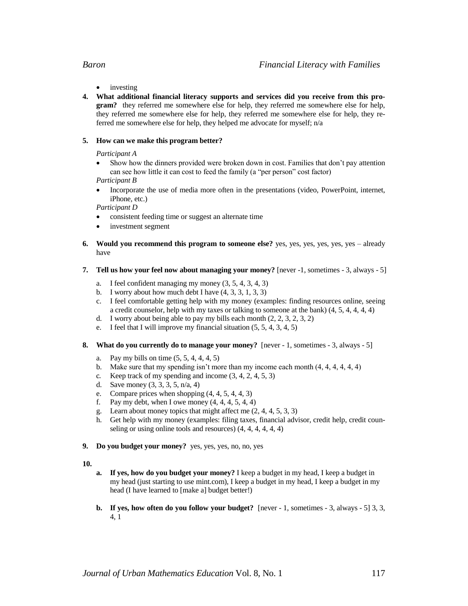- - investing
- **4. What additional financial literacy supports and services did you receive from this program?** they referred me somewhere else for help, they referred me somewhere else for help, they referred me somewhere else for help, they referred me somewhere else for help, they referred me somewhere else for help, they helped me advocate for myself; n/a

### **5. How can we make this program better?**

*Participant A*

 Show how the dinners provided were broken down in cost. Families that don't pay attention can see how little it can cost to feed the family (a "per person" cost factor)

*Participant B*

 Incorporate the use of media more often in the presentations (video, PowerPoint, internet, iPhone, etc.)

*Participant D*

- consistent feeding time or suggest an alternate time
- investment segment
- **6. Would you recommend this program to someone else?** yes, yes, yes, yes, yes, yes already have
- **7. Tell us how your feel now about managing your money?** [never -1, sometimes 3, always 5]
	- a. I feel confident managing my money (3, 5, 4, 3, 4, 3)
	- b. I worry about how much debt I have  $(4, 3, 3, 1, 3, 3)$
	- c. I feel comfortable getting help with my money (examples: finding resources online, seeing a credit counselor, help with my taxes or talking to someone at the bank) (4, 5, 4, 4, 4, 4)
	- d. I worry about being able to pay my bills each month (2, 2, 3, 2, 3, 2)
	- e. I feel that I will improve my financial situation (5, 5, 4, 3, 4, 5)
- **8. What do you currently do to manage your money?** [never 1, sometimes 3, always 5]
	- a. Pay my bills on time  $(5, 5, 4, 4, 4, 5)$
	- b. Make sure that my spending isn't more than my income each month  $(4, 4, 4, 4, 4, 4)$
	- c. Keep track of my spending and income  $(3, 4, 2, 4, 5, 3)$
	- d. Save money (3, 3, 3, 5, n/a, 4)
	- e. Compare prices when shopping (4, 4, 5, 4, 4, 3)
	- f. Pay my debt, when I owe money  $(4, 4, 4, 5, 4, 4)$
	- g. Learn about money topics that might affect me (2, 4, 4, 5, 3, 3)
	- h. Get help with my money (examples: filing taxes, financial advisor, credit help, credit counseling or using online tools and resources) (4, 4, 4, 4, 4, 4)
- **9. Do you budget your money?** yes, yes, yes, no, no, yes

**10.**

- **a. If yes, how do you budget your money?** I keep a budget in my head, I keep a budget in my head (just starting to use mint.com), I keep a budget in my head, I keep a budget in my head (I have learned to [make a] budget better!)
- **b. If yes, how often do you follow your budget?** [never  $-1$ , sometimes  $-3$ , always  $-5$ ] 3, 3, 4, 1